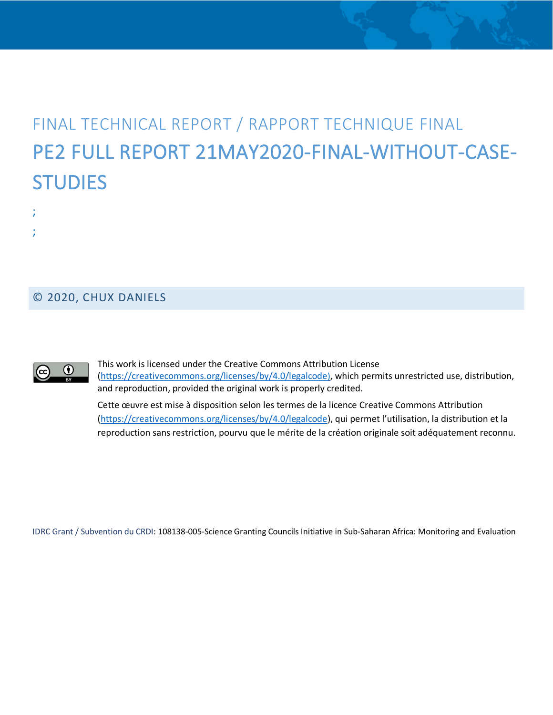# FINAL TECHNICAL REPORT / RAPPORT TECHNIQUE FINAL PE2 FULL REPORT 21MAY2020-FINAL-WITHOUT-CASE-**STUDIES**

; ;

© 2020, CHUX DANIELS



This work is licensed under the Creative Commons Attribution License [\(https://creativecommons.org/licenses/by/4.0/legalcode](https://creativecommons.org/licenses/by/4.0/legalcode)), which permits unrestricted use, distribution, and reproduction, provided the original work is properly credited.

Cette œuvre est mise à disposition selon les termes de la licence Creative Commons Attribution [\(https://creativecommons.org/licenses/by/4.0/legalcode\)](https://creativecommons.org/licenses/by/4.0/legalcode), qui permet l'utilisation, la distribution et la reproduction sans restriction, pourvu que le mérite de la création originale soit adéquatement reconnu.

IDRC Grant / Subvention du CRDI: 108138-005-Science Granting Councils Initiative in Sub-Saharan Africa: Monitoring and Evaluation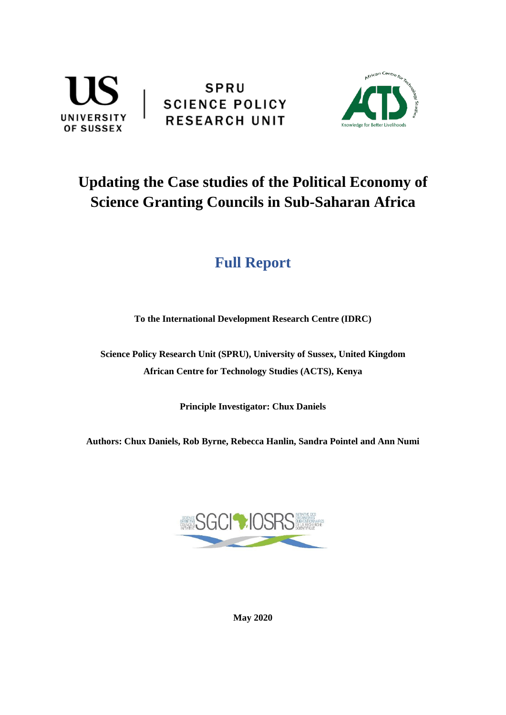

**SPRU SCIENCE POLICY RESEARCH UNIT** 



## **Updating the Case studies of the Political Economy of Science Granting Councils in Sub-Saharan Africa**

## **Full Report**

**To the International Development Research Centre (IDRC)**

**Science Policy Research Unit (SPRU), University of Sussex, United Kingdom African Centre for Technology Studies (ACTS), Kenya**

**Principle Investigator: Chux Daniels**

**Authors: Chux Daniels, Rob Byrne, Rebecca Hanlin, Sandra Pointel and Ann Numi**



**May 2020**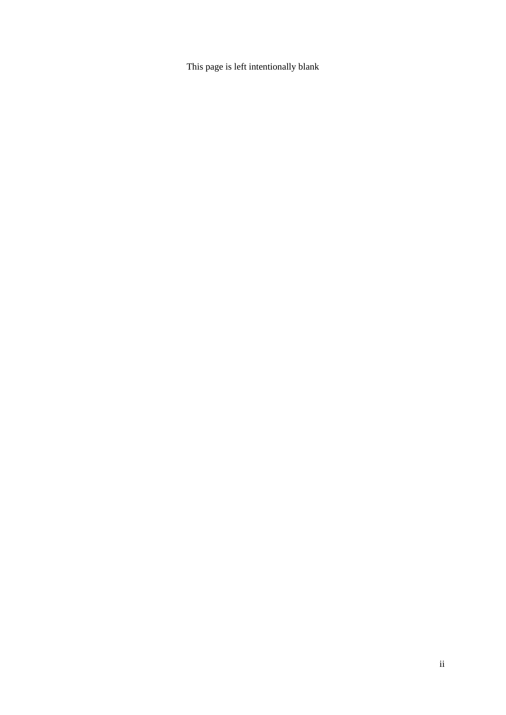This page is left intentionally blank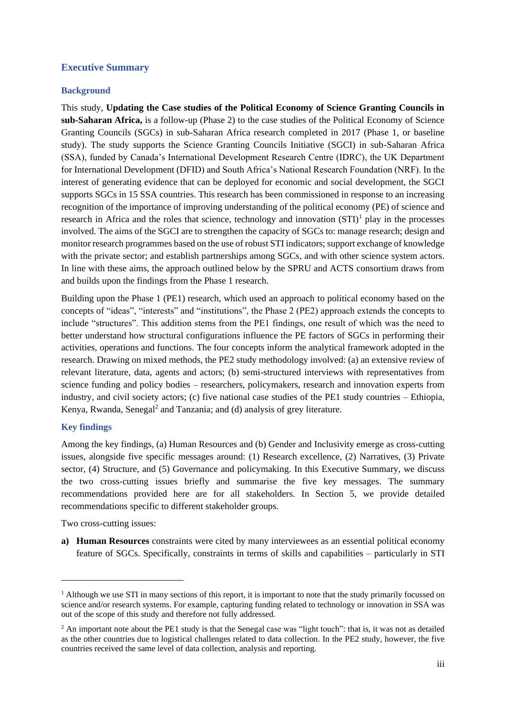#### <span id="page-3-0"></span>**Executive Summary**

#### **Background**

This study, **Updating the Case studies of the Political Economy of Science Granting Councils in sub-Saharan Africa,** is a follow-up (Phase 2) to the case studies of the Political Economy of Science Granting Councils (SGCs) in sub-Saharan Africa research completed in 2017 (Phase 1, or baseline study). The study supports the Science Granting Councils Initiative (SGCI) in sub-Saharan Africa (SSA), funded by Canada's International Development Research Centre (IDRC), the UK Department for International Development (DFID) and South Africa's National Research Foundation (NRF). In the interest of generating evidence that can be deployed for economic and social development, the SGCI supports SGCs in 15 SSA countries. This research has been commissioned in response to an increasing recognition of the importance of improving understanding of the political economy (PE) of science and research in Africa and the roles that science, technology and innovation  $(STI)^1$  play in the processes involved. The aims of the SGCI are to strengthen the capacity of SGCs to: manage research; design and monitor research programmes based on the use of robust STI indicators; support exchange of knowledge with the private sector; and establish partnerships among SGCs, and with other science system actors. In line with these aims, the approach outlined below by the SPRU and ACTS consortium draws from and builds upon the findings from the Phase 1 research.

Building upon the Phase 1 (PE1) research, which used an approach to political economy based on the concepts of "ideas", "interests" and "institutions", the Phase 2 (PE2) approach extends the concepts to include "structures". This addition stems from the PE1 findings, one result of which was the need to better understand how structural configurations influence the PE factors of SGCs in performing their activities, operations and functions. The four concepts inform the analytical framework adopted in the research. Drawing on mixed methods, the PE2 study methodology involved: (a) an extensive review of relevant literature, data, agents and actors; (b) semi-structured interviews with representatives from science funding and policy bodies – researchers, policymakers, research and innovation experts from industry, and civil society actors; (c) five national case studies of the PE1 study countries – Ethiopia, Kenya, Rwanda, Senegal<sup>2</sup> and Tanzania; and (d) analysis of grey literature.

#### **Key findings**

Among the key findings, (a) Human Resources and (b) Gender and Inclusivity emerge as cross-cutting issues, alongside five specific messages around: (1) Research excellence, (2) Narratives, (3) Private sector, (4) Structure, and (5) Governance and policymaking. In this Executive Summary, we discuss the two cross-cutting issues briefly and summarise the five key messages. The summary recommendations provided here are for all stakeholders. In Section 5, we provide detailed recommendations specific to different stakeholder groups.

Two cross-cutting issues:

**a) Human Resources** constraints were cited by many interviewees as an essential political economy feature of SGCs. Specifically, constraints in terms of skills and capabilities – particularly in STI

<sup>&</sup>lt;sup>1</sup> Although we use STI in many sections of this report, it is important to note that the study primarily focussed on science and/or research systems. For example, capturing funding related to technology or innovation in SSA was out of the scope of this study and therefore not fully addressed.

<sup>&</sup>lt;sup>2</sup> An important note about the PE1 study is that the Senegal case was "light touch": that is, it was not as detailed as the other countries due to logistical challenges related to data collection. In the PE2 study, however, the five countries received the same level of data collection, analysis and reporting.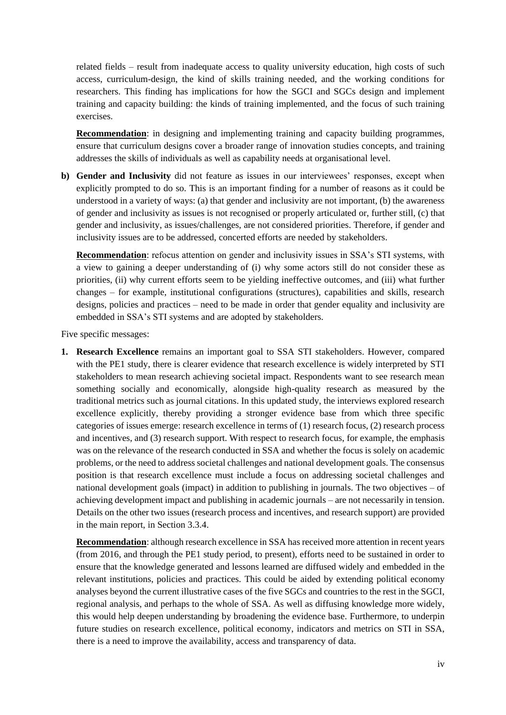related fields – result from inadequate access to quality university education, high costs of such access, curriculum-design, the kind of skills training needed, and the working conditions for researchers. This finding has implications for how the SGCI and SGCs design and implement training and capacity building: the kinds of training implemented, and the focus of such training exercises.

**Recommendation**: in designing and implementing training and capacity building programmes, ensure that curriculum designs cover a broader range of innovation studies concepts, and training addresses the skills of individuals as well as capability needs at organisational level.

**b) Gender and Inclusivity** did not feature as issues in our interviewees' responses, except when explicitly prompted to do so. This is an important finding for a number of reasons as it could be understood in a variety of ways: (a) that gender and inclusivity are not important, (b) the awareness of gender and inclusivity as issues is not recognised or properly articulated or, further still, (c) that gender and inclusivity, as issues/challenges, are not considered priorities. Therefore, if gender and inclusivity issues are to be addressed, concerted efforts are needed by stakeholders.

**Recommendation**: refocus attention on gender and inclusivity issues in SSA's STI systems, with a view to gaining a deeper understanding of (i) why some actors still do not consider these as priorities, (ii) why current efforts seem to be yielding ineffective outcomes, and (iii) what further changes – for example, institutional configurations (structures), capabilities and skills, research designs, policies and practices – need to be made in order that gender equality and inclusivity are embedded in SSA's STI systems and are adopted by stakeholders.

Five specific messages:

**1. Research Excellence** remains an important goal to SSA STI stakeholders. However, compared with the PE1 study, there is clearer evidence that research excellence is widely interpreted by STI stakeholders to mean research achieving societal impact. Respondents want to see research mean something socially and economically, alongside high-quality research as measured by the traditional metrics such as journal citations. In this updated study, the interviews explored research excellence explicitly, thereby providing a stronger evidence base from which three specific categories of issues emerge: research excellence in terms of (1) research focus, (2) research process and incentives, and (3) research support. With respect to research focus, for example, the emphasis was on the relevance of the research conducted in SSA and whether the focus is solely on academic problems, or the need to address societal challenges and national development goals. The consensus position is that research excellence must include a focus on addressing societal challenges and national development goals (impact) in addition to publishing in journals. The two objectives – of achieving development impact and publishing in academic journals – are not necessarily in tension. Details on the other two issues (research process and incentives, and research support) are provided in the main report, in Section 3.3.4.

**Recommendation**: although research excellence in SSA has received more attention in recent years (from 2016, and through the PE1 study period, to present), efforts need to be sustained in order to ensure that the knowledge generated and lessons learned are diffused widely and embedded in the relevant institutions, policies and practices. This could be aided by extending political economy analyses beyond the current illustrative cases of the five SGCs and countries to the rest in the SGCI, regional analysis, and perhaps to the whole of SSA. As well as diffusing knowledge more widely, this would help deepen understanding by broadening the evidence base. Furthermore, to underpin future studies on research excellence, political economy, indicators and metrics on STI in SSA, there is a need to improve the availability, access and transparency of data.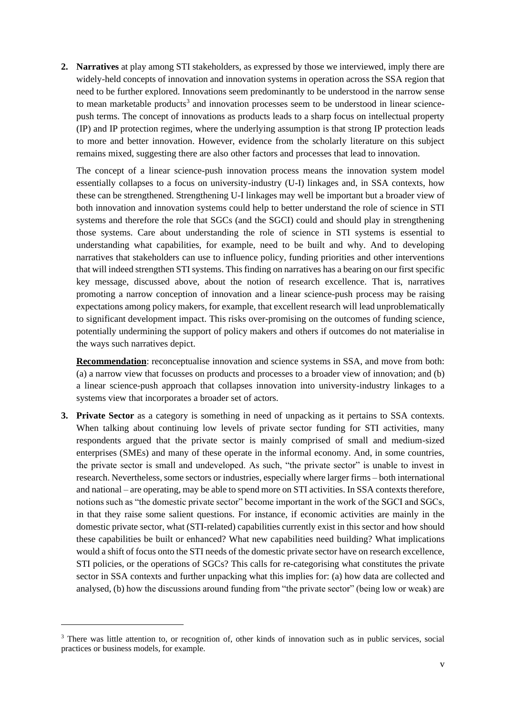**2. Narratives** at play among STI stakeholders, as expressed by those we interviewed, imply there are widely-held concepts of innovation and innovation systems in operation across the SSA region that need to be further explored. Innovations seem predominantly to be understood in the narrow sense to mean marketable products<sup>3</sup> and innovation processes seem to be understood in linear sciencepush terms. The concept of innovations as products leads to a sharp focus on intellectual property (IP) and IP protection regimes, where the underlying assumption is that strong IP protection leads to more and better innovation. However, evidence from the scholarly literature on this subject remains mixed, suggesting there are also other factors and processes that lead to innovation.

The concept of a linear science-push innovation process means the innovation system model essentially collapses to a focus on university-industry (U-I) linkages and, in SSA contexts, how these can be strengthened. Strengthening U-I linkages may well be important but a broader view of both innovation and innovation systems could help to better understand the role of science in STI systems and therefore the role that SGCs (and the SGCI) could and should play in strengthening those systems. Care about understanding the role of science in STI systems is essential to understanding what capabilities, for example, need to be built and why. And to developing narratives that stakeholders can use to influence policy, funding priorities and other interventions that will indeed strengthen STI systems. This finding on narratives has a bearing on our first specific key message, discussed above, about the notion of research excellence. That is, narratives promoting a narrow conception of innovation and a linear science-push process may be raising expectations among policy makers, for example, that excellent research will lead unproblematically to significant development impact. This risks over-promising on the outcomes of funding science, potentially undermining the support of policy makers and others if outcomes do not materialise in the ways such narratives depict.

**Recommendation**: reconceptualise innovation and science systems in SSA, and move from both: (a) a narrow view that focusses on products and processes to a broader view of innovation; and (b) a linear science-push approach that collapses innovation into university-industry linkages to a systems view that incorporates a broader set of actors.

**3. Private Sector** as a category is something in need of unpacking as it pertains to SSA contexts. When talking about continuing low levels of private sector funding for STI activities, many respondents argued that the private sector is mainly comprised of small and medium-sized enterprises (SMEs) and many of these operate in the informal economy. And, in some countries, the private sector is small and undeveloped. As such, "the private sector" is unable to invest in research. Nevertheless, some sectors or industries, especially where larger firms – both international and national – are operating, may be able to spend more on STI activities. In SSA contexts therefore, notions such as "the domestic private sector" become important in the work of the SGCI and SGCs, in that they raise some salient questions. For instance, if economic activities are mainly in the domestic private sector, what (STI-related) capabilities currently exist in this sector and how should these capabilities be built or enhanced? What new capabilities need building? What implications would a shift of focus onto the STI needs of the domestic private sector have on research excellence, STI policies, or the operations of SGCs? This calls for re-categorising what constitutes the private sector in SSA contexts and further unpacking what this implies for: (a) how data are collected and analysed, (b) how the discussions around funding from "the private sector" (being low or weak) are

<sup>&</sup>lt;sup>3</sup> There was little attention to, or recognition of, other kinds of innovation such as in public services, social practices or business models, for example.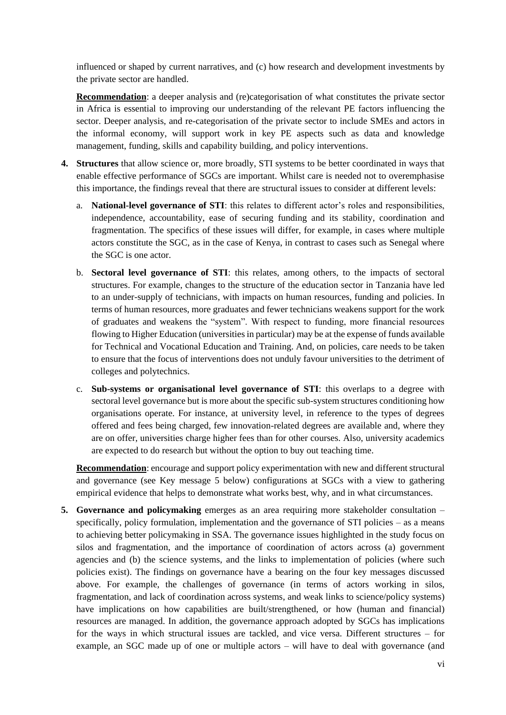influenced or shaped by current narratives, and (c) how research and development investments by the private sector are handled.

**Recommendation**: a deeper analysis and (re)categorisation of what constitutes the private sector in Africa is essential to improving our understanding of the relevant PE factors influencing the sector. Deeper analysis, and re-categorisation of the private sector to include SMEs and actors in the informal economy, will support work in key PE aspects such as data and knowledge management, funding, skills and capability building, and policy interventions.

- **4. Structures** that allow science or, more broadly, STI systems to be better coordinated in ways that enable effective performance of SGCs are important. Whilst care is needed not to overemphasise this importance, the findings reveal that there are structural issues to consider at different levels:
	- a. **National-level governance of STI**: this relates to different actor's roles and responsibilities, independence, accountability, ease of securing funding and its stability, coordination and fragmentation. The specifics of these issues will differ, for example, in cases where multiple actors constitute the SGC, as in the case of Kenya, in contrast to cases such as Senegal where the SGC is one actor.
	- b. **Sectoral level governance of STI**: this relates, among others, to the impacts of sectoral structures. For example, changes to the structure of the education sector in Tanzania have led to an under-supply of technicians, with impacts on human resources, funding and policies. In terms of human resources, more graduates and fewer technicians weakens support for the work of graduates and weakens the "system". With respect to funding, more financial resources flowing to Higher Education (universities in particular) may be at the expense of funds available for Technical and Vocational Education and Training. And, on policies, care needs to be taken to ensure that the focus of interventions does not unduly favour universities to the detriment of colleges and polytechnics.
	- c. **Sub-systems or organisational level governance of STI**: this overlaps to a degree with sectoral level governance but is more about the specific sub-system structures conditioning how organisations operate. For instance, at university level, in reference to the types of degrees offered and fees being charged, few innovation-related degrees are available and, where they are on offer, universities charge higher fees than for other courses. Also, university academics are expected to do research but without the option to buy out teaching time.

**Recommendation**: encourage and support policy experimentation with new and different structural and governance (see Key message 5 below) configurations at SGCs with a view to gathering empirical evidence that helps to demonstrate what works best, why, and in what circumstances.

**5. Governance and policymaking** emerges as an area requiring more stakeholder consultation – specifically, policy formulation, implementation and the governance of STI policies – as a means to achieving better policymaking in SSA. The governance issues highlighted in the study focus on silos and fragmentation, and the importance of coordination of actors across (a) government agencies and (b) the science systems, and the links to implementation of policies (where such policies exist). The findings on governance have a bearing on the four key messages discussed above. For example, the challenges of governance (in terms of actors working in silos, fragmentation, and lack of coordination across systems, and weak links to science/policy systems) have implications on how capabilities are built/strengthened, or how (human and financial) resources are managed. In addition, the governance approach adopted by SGCs has implications for the ways in which structural issues are tackled, and vice versa. Different structures – for example, an SGC made up of one or multiple actors – will have to deal with governance (and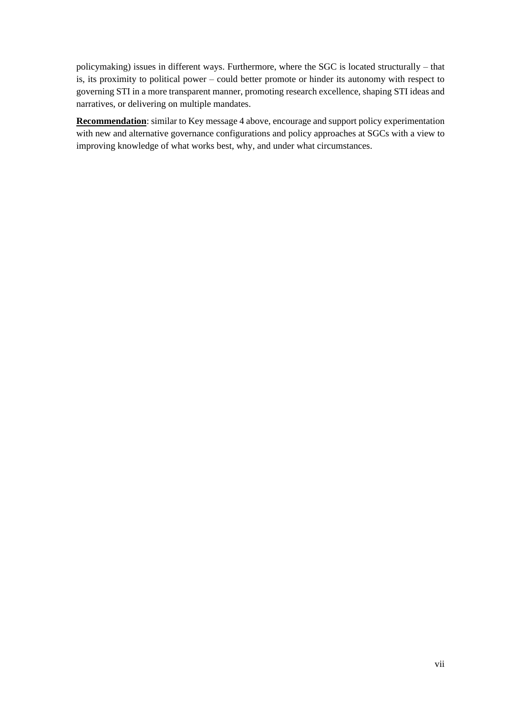policymaking) issues in different ways. Furthermore, where the SGC is located structurally – that is, its proximity to political power – could better promote or hinder its autonomy with respect to governing STI in a more transparent manner, promoting research excellence, shaping STI ideas and narratives, or delivering on multiple mandates.

**Recommendation**: similar to Key message 4 above, encourage and support policy experimentation with new and alternative governance configurations and policy approaches at SGCs with a view to improving knowledge of what works best, why, and under what circumstances.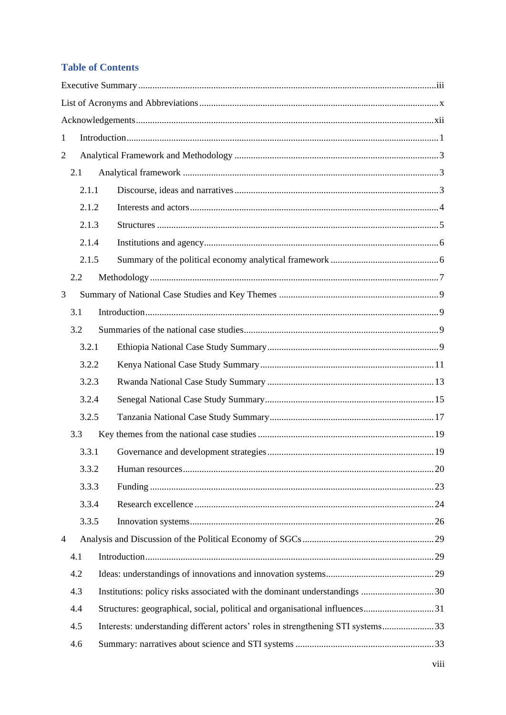### **Table of Contents**

| $\mathbf{1}$   |       |                                                                                 |  |  |  |  |
|----------------|-------|---------------------------------------------------------------------------------|--|--|--|--|
| $\overline{2}$ |       |                                                                                 |  |  |  |  |
| 2.1            |       |                                                                                 |  |  |  |  |
|                | 2.1.1 |                                                                                 |  |  |  |  |
|                | 2.1.2 |                                                                                 |  |  |  |  |
| 2.1.3          |       |                                                                                 |  |  |  |  |
|                | 2.1.4 |                                                                                 |  |  |  |  |
|                | 2.1.5 |                                                                                 |  |  |  |  |
| 2.2            |       |                                                                                 |  |  |  |  |
| 3              |       |                                                                                 |  |  |  |  |
| 3.1            |       |                                                                                 |  |  |  |  |
| 3.2            |       |                                                                                 |  |  |  |  |
| 3.2.1          |       |                                                                                 |  |  |  |  |
|                | 3.2.2 |                                                                                 |  |  |  |  |
|                | 3.2.3 |                                                                                 |  |  |  |  |
|                | 3.2.4 |                                                                                 |  |  |  |  |
|                | 3.2.5 |                                                                                 |  |  |  |  |
| 3.3            |       |                                                                                 |  |  |  |  |
|                | 3.3.1 |                                                                                 |  |  |  |  |
|                | 3.3.2 |                                                                                 |  |  |  |  |
|                | 3.3.3 |                                                                                 |  |  |  |  |
|                | 3.3.4 |                                                                                 |  |  |  |  |
|                | 3.3.5 |                                                                                 |  |  |  |  |
| $\overline{4}$ |       |                                                                                 |  |  |  |  |
| 4.1            |       |                                                                                 |  |  |  |  |
| 4.2            |       |                                                                                 |  |  |  |  |
| 4.3            |       |                                                                                 |  |  |  |  |
| 4.4            |       | Structures: geographical, social, political and organisational influences31     |  |  |  |  |
| 4.5            |       | Interests: understanding different actors' roles in strengthening STI systems33 |  |  |  |  |
| 4.6            |       |                                                                                 |  |  |  |  |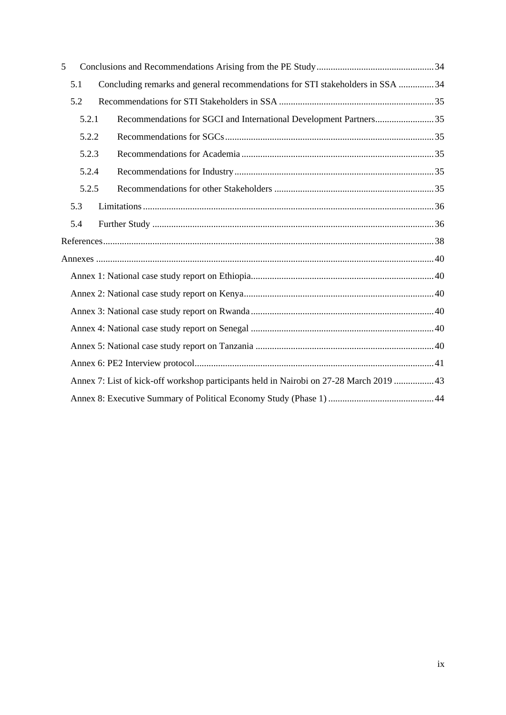| 5     |                                                                                         |  |  |  |
|-------|-----------------------------------------------------------------------------------------|--|--|--|
|       | Concluding remarks and general recommendations for STI stakeholders in SSA  34<br>5.1   |  |  |  |
|       | 5.2                                                                                     |  |  |  |
|       | 5.2.1                                                                                   |  |  |  |
|       | 5.2.2                                                                                   |  |  |  |
|       | 5.2.3                                                                                   |  |  |  |
| 5.2.4 |                                                                                         |  |  |  |
|       | 5.2.5                                                                                   |  |  |  |
|       | 5.3                                                                                     |  |  |  |
|       | 5.4                                                                                     |  |  |  |
|       |                                                                                         |  |  |  |
|       |                                                                                         |  |  |  |
|       |                                                                                         |  |  |  |
|       |                                                                                         |  |  |  |
|       |                                                                                         |  |  |  |
|       |                                                                                         |  |  |  |
|       |                                                                                         |  |  |  |
|       |                                                                                         |  |  |  |
|       | Annex 7: List of kick-off workshop participants held in Nairobi on 27-28 March 2019  43 |  |  |  |
|       |                                                                                         |  |  |  |
|       |                                                                                         |  |  |  |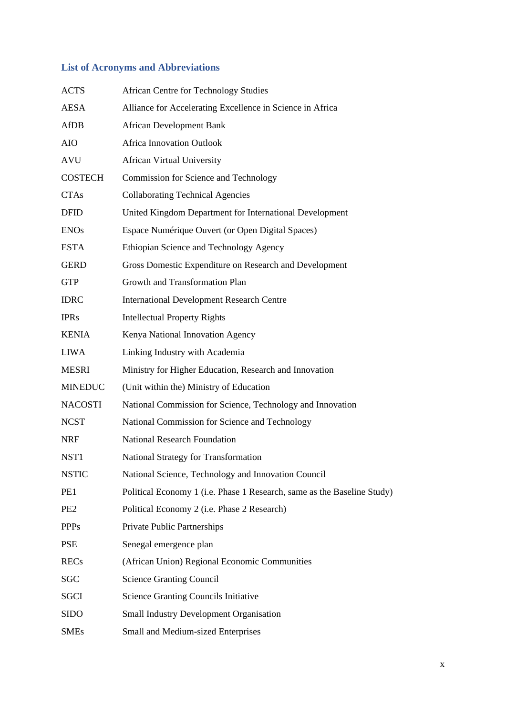### <span id="page-10-0"></span>**List of Acronyms and Abbreviations**

| <b>ACTS</b>                                                           | <b>African Centre for Technology Studies</b>                            |  |  |
|-----------------------------------------------------------------------|-------------------------------------------------------------------------|--|--|
| <b>AESA</b>                                                           | Alliance for Accelerating Excellence in Science in Africa               |  |  |
| <b>AfDB</b>                                                           | <b>African Development Bank</b>                                         |  |  |
| AIO                                                                   | <b>Africa Innovation Outlook</b>                                        |  |  |
| AVU                                                                   | <b>African Virtual University</b>                                       |  |  |
| <b>COSTECH</b>                                                        | <b>Commission for Science and Technology</b>                            |  |  |
| <b>CTAs</b>                                                           | <b>Collaborating Technical Agencies</b>                                 |  |  |
| <b>DFID</b>                                                           | United Kingdom Department for International Development                 |  |  |
| <b>ENOs</b>                                                           | Espace Numérique Ouvert (or Open Digital Spaces)                        |  |  |
| <b>ESTA</b>                                                           | Ethiopian Science and Technology Agency                                 |  |  |
| <b>GERD</b><br>Gross Domestic Expenditure on Research and Development |                                                                         |  |  |
| Growth and Transformation Plan<br><b>GTP</b>                          |                                                                         |  |  |
| <b>IDRC</b>                                                           | <b>International Development Research Centre</b>                        |  |  |
| <b>IPRs</b><br><b>Intellectual Property Rights</b>                    |                                                                         |  |  |
| <b>KENIA</b>                                                          | Kenya National Innovation Agency                                        |  |  |
| <b>LIWA</b>                                                           | Linking Industry with Academia                                          |  |  |
| <b>MESRI</b>                                                          | Ministry for Higher Education, Research and Innovation                  |  |  |
| <b>MINEDUC</b>                                                        | (Unit within the) Ministry of Education                                 |  |  |
| <b>NACOSTI</b>                                                        | National Commission for Science, Technology and Innovation              |  |  |
| <b>NCST</b>                                                           | National Commission for Science and Technology                          |  |  |
| <b>NRF</b>                                                            | <b>National Research Foundation</b>                                     |  |  |
| NST1                                                                  | National Strategy for Transformation                                    |  |  |
| <b>NSTIC</b>                                                          | National Science, Technology and Innovation Council                     |  |  |
| PE1                                                                   | Political Economy 1 (i.e. Phase 1 Research, same as the Baseline Study) |  |  |
| PE <sub>2</sub>                                                       | Political Economy 2 (i.e. Phase 2 Research)                             |  |  |
| <b>PPPs</b>                                                           | Private Public Partnerships                                             |  |  |
| PSE                                                                   | Senegal emergence plan                                                  |  |  |
| <b>RECs</b>                                                           | (African Union) Regional Economic Communities                           |  |  |
| <b>SGC</b>                                                            | <b>Science Granting Council</b>                                         |  |  |
| SGCI                                                                  | <b>Science Granting Councils Initiative</b>                             |  |  |
| <b>SIDO</b>                                                           | <b>Small Industry Development Organisation</b>                          |  |  |
| <b>SMEs</b>                                                           | Small and Medium-sized Enterprises                                      |  |  |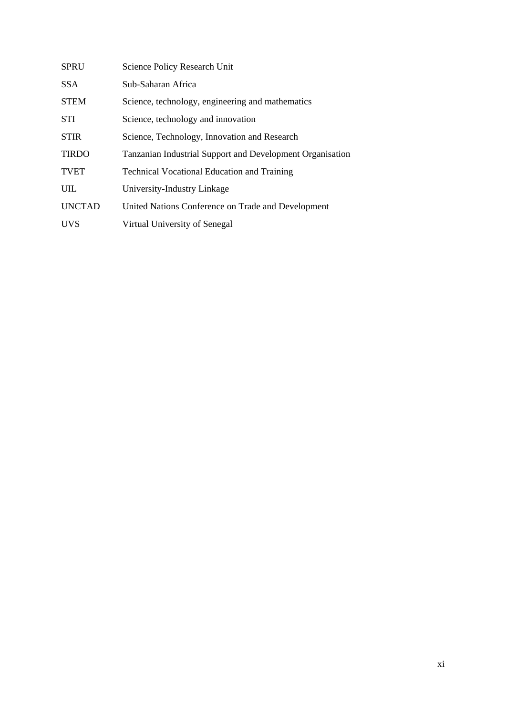| <b>SPRU</b>   | Science Policy Research Unit                              |  |
|---------------|-----------------------------------------------------------|--|
| <b>SSA</b>    | Sub-Saharan Africa                                        |  |
| <b>STEM</b>   | Science, technology, engineering and mathematics          |  |
| <b>STI</b>    | Science, technology and innovation                        |  |
| <b>STIR</b>   | Science, Technology, Innovation and Research              |  |
| <b>TIRDO</b>  | Tanzanian Industrial Support and Development Organisation |  |
| <b>TVET</b>   | <b>Technical Vocational Education and Training</b>        |  |
| UIL           | University-Industry Linkage                               |  |
| <b>UNCTAD</b> | United Nations Conference on Trade and Development        |  |
| <b>UVS</b>    | Virtual University of Senegal                             |  |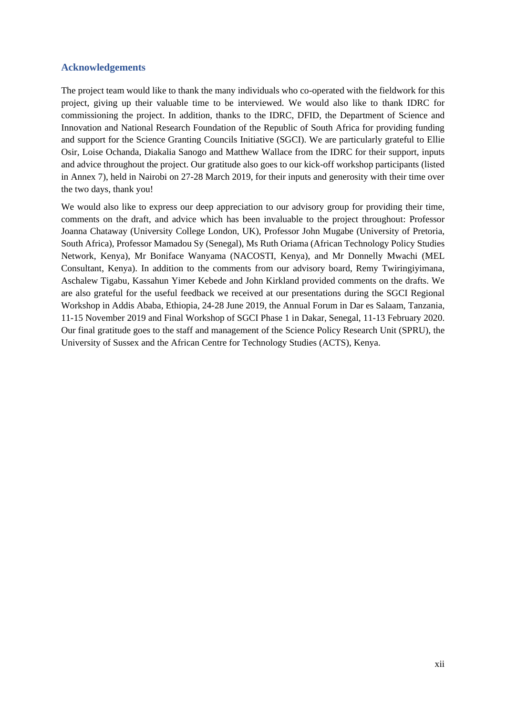#### <span id="page-12-0"></span>**Acknowledgements**

The project team would like to thank the many individuals who co-operated with the fieldwork for this project, giving up their valuable time to be interviewed. We would also like to thank IDRC for commissioning the project. In addition, thanks to the IDRC, DFID, the Department of Science and Innovation and National Research Foundation of the Republic of South Africa for providing funding and support for the Science Granting Councils Initiative (SGCI). We are particularly grateful to Ellie Osir, Loise Ochanda, Diakalia Sanogo and Matthew Wallace from the IDRC for their support, inputs and advice throughout the project. Our gratitude also goes to our kick-off workshop participants (listed in Annex 7), held in Nairobi on 27-28 March 2019, for their inputs and generosity with their time over the two days, thank you!

We would also like to express our deep appreciation to our advisory group for providing their time, comments on the draft, and advice which has been invaluable to the project throughout: Professor Joanna Chataway (University College London, UK), Professor John Mugabe (University of Pretoria, South Africa), Professor Mamadou Sy (Senegal), Ms Ruth Oriama (African Technology Policy Studies Network, Kenya), Mr Boniface Wanyama (NACOSTI, Kenya), and Mr Donnelly Mwachi (MEL Consultant, Kenya). In addition to the comments from our advisory board, Remy Twiringiyimana, Aschalew Tigabu, Kassahun Yimer Kebede and John Kirkland provided comments on the drafts. We are also grateful for the useful feedback we received at our presentations during the SGCI Regional Workshop in Addis Ababa, Ethiopia, 24-28 June 2019, the Annual Forum in Dar es Salaam, Tanzania, 11-15 November 2019 and Final Workshop of SGCI Phase 1 in Dakar, Senegal, 11-13 February 2020. Our final gratitude goes to the staff and management of the Science Policy Research Unit (SPRU), the University of Sussex and the African Centre for Technology Studies (ACTS), Kenya.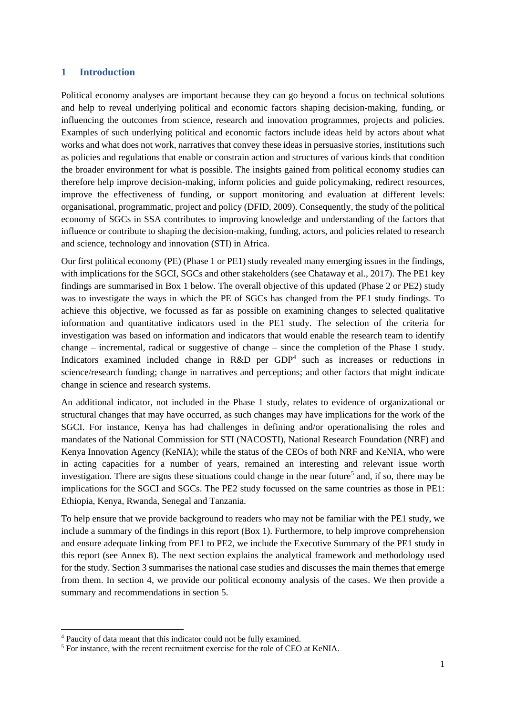#### <span id="page-13-0"></span>**1 Introduction**

Political economy analyses are important because they can go beyond a focus on technical solutions and help to reveal underlying political and economic factors shaping decision-making, funding, or influencing the outcomes from science, research and innovation programmes, projects and policies. Examples of such underlying political and economic factors include ideas held by actors about what works and what does not work, narratives that convey these ideas in persuasive stories, institutions such as policies and regulations that enable or constrain action and structures of various kinds that condition the broader environment for what is possible. The insights gained from political economy studies can therefore help improve decision-making, inform policies and guide policymaking, redirect resources, improve the effectiveness of funding, or support monitoring and evaluation at different levels: organisational, programmatic, project and policy (DFID, 2009). Consequently, the study of the political economy of SGCs in SSA contributes to improving knowledge and understanding of the factors that influence or contribute to shaping the decision-making, funding, actors, and policies related to research and science, technology and innovation (STI) in Africa.

Our first political economy (PE) (Phase 1 or PE1) study revealed many emerging issues in the findings, with implications for the SGCI, SGCs and other stakeholders (see Chataway et al., 2017). The PE1 key findings are summarised in Box 1 below. The overall objective of this updated (Phase 2 or PE2) study was to investigate the ways in which the PE of SGCs has changed from the PE1 study findings. To achieve this objective, we focussed as far as possible on examining changes to selected qualitative information and quantitative indicators used in the PE1 study. The selection of the criteria for investigation was based on information and indicators that would enable the research team to identify change – incremental, radical or suggestive of change – since the completion of the Phase 1 study. Indicators examined included change in  $R&D$  per  $GDP<sup>4</sup>$  such as increases or reductions in science/research funding; change in narratives and perceptions; and other factors that might indicate change in science and research systems.

An additional indicator, not included in the Phase 1 study, relates to evidence of organizational or structural changes that may have occurred, as such changes may have implications for the work of the SGCI. For instance, Kenya has had challenges in defining and/or operationalising the roles and mandates of the National Commission for STI (NACOSTI), National Research Foundation (NRF) and Kenya Innovation Agency (KeNIA); while the status of the CEOs of both NRF and KeNIA, who were in acting capacities for a number of years, remained an interesting and relevant issue worth investigation. There are signs these situations could change in the near future<sup>5</sup> and, if so, there may be implications for the SGCI and SGCs. The PE2 study focussed on the same countries as those in PE1: Ethiopia, Kenya, Rwanda, Senegal and Tanzania.

To help ensure that we provide background to readers who may not be familiar with the PE1 study, we include a summary of the findings in this report (Box 1). Furthermore, to help improve comprehension and ensure adequate linking from PE1 to PE2, we include the Executive Summary of the PE1 study in this report (see Annex 8). The next section explains the analytical framework and methodology used for the study. Section 3 summarises the national case studies and discusses the main themes that emerge from them. In section 4, we provide our political economy analysis of the cases. We then provide a summary and recommendations in section 5.

<sup>4</sup> Paucity of data meant that this indicator could not be fully examined.

<sup>&</sup>lt;sup>5</sup> For instance, with the recent recruitment exercise for the role of CEO at KeNIA.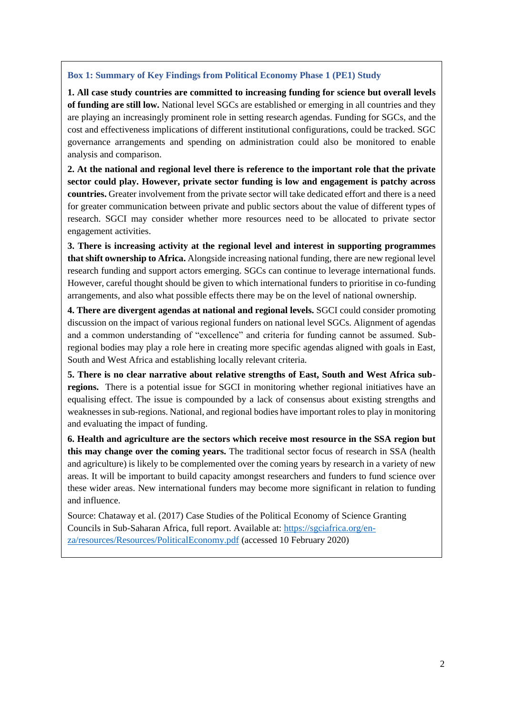#### **Box 1: Summary of Key Findings from Political Economy Phase 1 (PE1) Study**

**1. All case study countries are committed to increasing funding for science but overall levels of funding are still low.** National level SGCs are established or emerging in all countries and they are playing an increasingly prominent role in setting research agendas. Funding for SGCs, and the cost and effectiveness implications of different institutional configurations, could be tracked. SGC governance arrangements and spending on administration could also be monitored to enable analysis and comparison.

**2. At the national and regional level there is reference to the important role that the private sector could play. However, private sector funding is low and engagement is patchy across countries.** Greater involvement from the private sector will take dedicated effort and there is a need for greater communication between private and public sectors about the value of different types of research. SGCI may consider whether more resources need to be allocated to private sector engagement activities.

**3. There is increasing activity at the regional level and interest in supporting programmes that shift ownership to Africa.** Alongside increasing national funding, there are new regional level research funding and support actors emerging. SGCs can continue to leverage international funds. However, careful thought should be given to which international funders to prioritise in co-funding arrangements, and also what possible effects there may be on the level of national ownership.

**4. There are divergent agendas at national and regional levels.** SGCI could consider promoting discussion on the impact of various regional funders on national level SGCs. Alignment of agendas and a common understanding of "excellence" and criteria for funding cannot be assumed. Subregional bodies may play a role here in creating more specific agendas aligned with goals in East, South and West Africa and establishing locally relevant criteria.

**5. There is no clear narrative about relative strengths of East, South and West Africa subregions.** There is a potential issue for SGCI in monitoring whether regional initiatives have an equalising effect. The issue is compounded by a lack of consensus about existing strengths and weaknesses in sub-regions. National, and regional bodies have important roles to play in monitoring and evaluating the impact of funding.

**6. Health and agriculture are the sectors which receive most resource in the SSA region but this may change over the coming years.** The traditional sector focus of research in SSA (health and agriculture) is likely to be complemented over the coming years by research in a variety of new areas. It will be important to build capacity amongst researchers and funders to fund science over these wider areas. New international funders may become more significant in relation to funding and influence.

Source: Chataway et al. (2017) Case Studies of the Political Economy of Science Granting Councils in Sub-Saharan Africa, full report. Available at: [https://sgciafrica.org/en](https://sgciafrica.org/en-za/resources/Resources/PoliticalEconomy.pdf)[za/resources/Resources/PoliticalEconomy.pdf](https://sgciafrica.org/en-za/resources/Resources/PoliticalEconomy.pdf) (accessed 10 February 2020)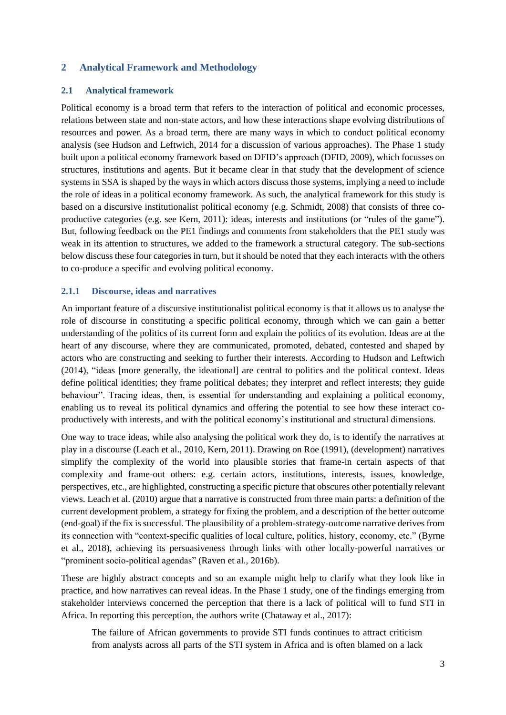#### <span id="page-15-0"></span>**2 Analytical Framework and Methodology**

#### <span id="page-15-1"></span>**2.1 Analytical framework**

Political economy is a broad term that refers to the interaction of political and economic processes, relations between state and non-state actors, and how these interactions shape evolving distributions of resources and power. As a broad term, there are many ways in which to conduct political economy analysis (see Hudson and Leftwich, 2014 for a discussion of various approaches). The Phase 1 study built upon a political economy framework based on DFID's approach (DFID, 2009), which focusses on structures, institutions and agents. But it became clear in that study that the development of science systems in SSA is shaped by the ways in which actors discuss those systems, implying a need to include the role of ideas in a political economy framework. As such, the analytical framework for this study is based on a discursive institutionalist political economy (e.g. Schmidt, 2008) that consists of three coproductive categories (e.g. see Kern, 2011): ideas, interests and institutions (or "rules of the game"). But, following feedback on the PE1 findings and comments from stakeholders that the PE1 study was weak in its attention to structures, we added to the framework a structural category. The sub-sections below discuss these four categories in turn, but it should be noted that they each interacts with the others to co-produce a specific and evolving political economy.

#### <span id="page-15-2"></span>**2.1.1 Discourse, ideas and narratives**

An important feature of a discursive institutionalist political economy is that it allows us to analyse the role of discourse in constituting a specific political economy, through which we can gain a better understanding of the politics of its current form and explain the politics of its evolution. Ideas are at the heart of any discourse, where they are communicated, promoted, debated, contested and shaped by actors who are constructing and seeking to further their interests. According to Hudson and Leftwich (2014), "ideas [more generally, the ideational] are central to politics and the political context. Ideas define political identities; they frame political debates; they interpret and reflect interests; they guide behaviour". Tracing ideas, then, is essential for understanding and explaining a political economy, enabling us to reveal its political dynamics and offering the potential to see how these interact coproductively with interests, and with the political economy's institutional and structural dimensions.

One way to trace ideas, while also analysing the political work they do, is to identify the narratives at play in a discourse (Leach et al., 2010, Kern, 2011). Drawing on Roe (1991), (development) narratives simplify the complexity of the world into plausible stories that frame-in certain aspects of that complexity and frame-out others: e.g. certain actors, institutions, interests, issues, knowledge, perspectives, etc., are highlighted, constructing a specific picture that obscures other potentially relevant views. Leach et al. (2010) argue that a narrative is constructed from three main parts: a definition of the current development problem, a strategy for fixing the problem, and a description of the better outcome (end-goal) if the fix is successful. The plausibility of a problem-strategy-outcome narrative derives from its connection with "context-specific qualities of local culture, politics, history, economy, etc." (Byrne et al., 2018), achieving its persuasiveness through links with other locally-powerful narratives or "prominent socio-political agendas" (Raven et al., 2016b).

These are highly abstract concepts and so an example might help to clarify what they look like in practice, and how narratives can reveal ideas. In the Phase 1 study, one of the findings emerging from stakeholder interviews concerned the perception that there is a lack of political will to fund STI in Africa. In reporting this perception, the authors write (Chataway et al., 2017):

The failure of African governments to provide STI funds continues to attract criticism from analysts across all parts of the STI system in Africa and is often blamed on a lack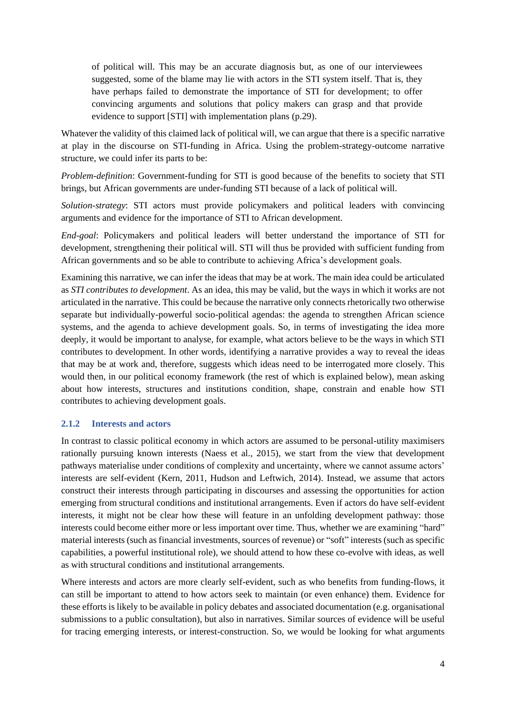of political will. This may be an accurate diagnosis but, as one of our interviewees suggested, some of the blame may lie with actors in the STI system itself. That is, they have perhaps failed to demonstrate the importance of STI for development; to offer convincing arguments and solutions that policy makers can grasp and that provide evidence to support [STI] with implementation plans (p.29).

Whatever the validity of this claimed lack of political will, we can argue that there is a specific narrative at play in the discourse on STI-funding in Africa. Using the problem-strategy-outcome narrative structure, we could infer its parts to be:

*Problem-definition*: Government-funding for STI is good because of the benefits to society that STI brings, but African governments are under-funding STI because of a lack of political will.

*Solution-strategy*: STI actors must provide policymakers and political leaders with convincing arguments and evidence for the importance of STI to African development.

*End-goal*: Policymakers and political leaders will better understand the importance of STI for development, strengthening their political will. STI will thus be provided with sufficient funding from African governments and so be able to contribute to achieving Africa's development goals.

Examining this narrative, we can infer the ideas that may be at work. The main idea could be articulated as *STI contributes to development*. As an idea, this may be valid, but the ways in which it works are not articulated in the narrative. This could be because the narrative only connects rhetorically two otherwise separate but individually-powerful socio-political agendas: the agenda to strengthen African science systems, and the agenda to achieve development goals. So, in terms of investigating the idea more deeply, it would be important to analyse, for example, what actors believe to be the ways in which STI contributes to development. In other words, identifying a narrative provides a way to reveal the ideas that may be at work and, therefore, suggests which ideas need to be interrogated more closely. This would then, in our political economy framework (the rest of which is explained below), mean asking about how interests, structures and institutions condition, shape, constrain and enable how STI contributes to achieving development goals.

#### <span id="page-16-0"></span>**2.1.2 Interests and actors**

In contrast to classic political economy in which actors are assumed to be personal-utility maximisers rationally pursuing known interests (Naess et al., 2015), we start from the view that development pathways materialise under conditions of complexity and uncertainty, where we cannot assume actors' interests are self-evident (Kern, 2011, Hudson and Leftwich, 2014). Instead, we assume that actors construct their interests through participating in discourses and assessing the opportunities for action emerging from structural conditions and institutional arrangements. Even if actors do have self-evident interests, it might not be clear how these will feature in an unfolding development pathway: those interests could become either more or less important over time. Thus, whether we are examining "hard" material interests (such as financial investments, sources of revenue) or "soft" interests (such as specific capabilities, a powerful institutional role), we should attend to how these co-evolve with ideas, as well as with structural conditions and institutional arrangements.

Where interests and actors are more clearly self-evident, such as who benefits from funding-flows, it can still be important to attend to how actors seek to maintain (or even enhance) them. Evidence for these efforts is likely to be available in policy debates and associated documentation (e.g. organisational submissions to a public consultation), but also in narratives. Similar sources of evidence will be useful for tracing emerging interests, or interest-construction. So, we would be looking for what arguments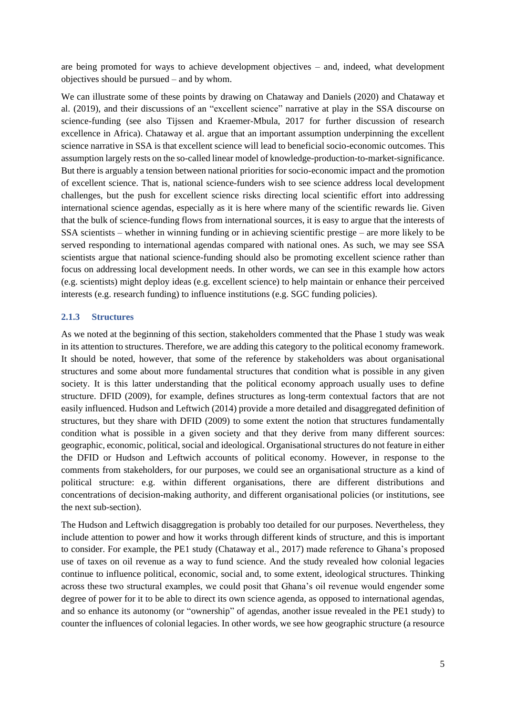are being promoted for ways to achieve development objectives – and, indeed, what development objectives should be pursued – and by whom.

We can illustrate some of these points by drawing on Chataway and Daniels (2020) and Chataway et al. (2019), and their discussions of an "excellent science" narrative at play in the SSA discourse on science-funding (see also Tijssen and Kraemer-Mbula, 2017 for further discussion of research excellence in Africa). Chataway et al. argue that an important assumption underpinning the excellent science narrative in SSA is that excellent science will lead to beneficial socio-economic outcomes. This assumption largely rests on the so-called linear model of knowledge-production-to-market-significance. But there is arguably a tension between national priorities for socio-economic impact and the promotion of excellent science. That is, national science-funders wish to see science address local development challenges, but the push for excellent science risks directing local scientific effort into addressing international science agendas, especially as it is here where many of the scientific rewards lie. Given that the bulk of science-funding flows from international sources, it is easy to argue that the interests of SSA scientists – whether in winning funding or in achieving scientific prestige – are more likely to be served responding to international agendas compared with national ones. As such, we may see SSA scientists argue that national science-funding should also be promoting excellent science rather than focus on addressing local development needs. In other words, we can see in this example how actors (e.g. scientists) might deploy ideas (e.g. excellent science) to help maintain or enhance their perceived interests (e.g. research funding) to influence institutions (e.g. SGC funding policies).

#### <span id="page-17-0"></span>**2.1.3 Structures**

As we noted at the beginning of this section, stakeholders commented that the Phase 1 study was weak in its attention to structures. Therefore, we are adding this category to the political economy framework. It should be noted, however, that some of the reference by stakeholders was about organisational structures and some about more fundamental structures that condition what is possible in any given society. It is this latter understanding that the political economy approach usually uses to define structure. DFID (2009), for example, defines structures as long-term contextual factors that are not easily influenced. Hudson and Leftwich (2014) provide a more detailed and disaggregated definition of structures, but they share with DFID (2009) to some extent the notion that structures fundamentally condition what is possible in a given society and that they derive from many different sources: geographic, economic, political, social and ideological. Organisational structures do not feature in either the DFID or Hudson and Leftwich accounts of political economy. However, in response to the comments from stakeholders, for our purposes, we could see an organisational structure as a kind of political structure: e.g. within different organisations, there are different distributions and concentrations of decision-making authority, and different organisational policies (or institutions, see the next sub-section).

The Hudson and Leftwich disaggregation is probably too detailed for our purposes. Nevertheless, they include attention to power and how it works through different kinds of structure, and this is important to consider. For example, the PE1 study (Chataway et al., 2017) made reference to Ghana's proposed use of taxes on oil revenue as a way to fund science. And the study revealed how colonial legacies continue to influence political, economic, social and, to some extent, ideological structures. Thinking across these two structural examples, we could posit that Ghana's oil revenue would engender some degree of power for it to be able to direct its own science agenda, as opposed to international agendas, and so enhance its autonomy (or "ownership" of agendas, another issue revealed in the PE1 study) to counter the influences of colonial legacies. In other words, we see how geographic structure (a resource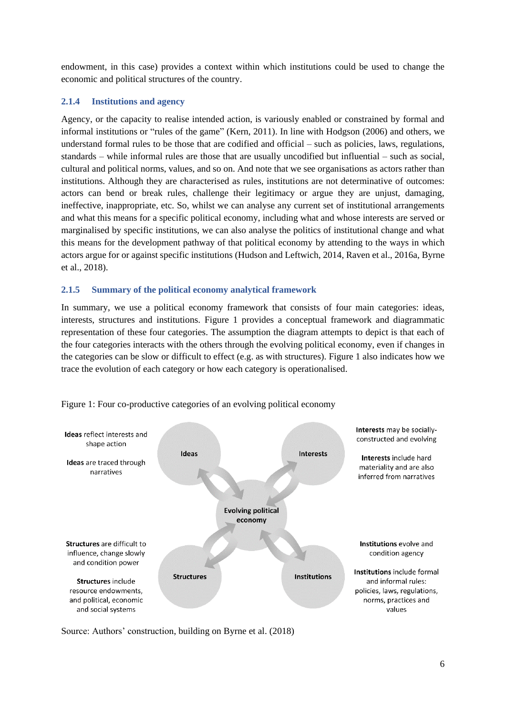endowment, in this case) provides a context within which institutions could be used to change the economic and political structures of the country.

#### <span id="page-18-0"></span>**2.1.4 Institutions and agency**

Agency, or the capacity to realise intended action, is variously enabled or constrained by formal and informal institutions or "rules of the game" (Kern, 2011). In line with Hodgson (2006) and others, we understand formal rules to be those that are codified and official – such as policies, laws, regulations, standards – while informal rules are those that are usually uncodified but influential – such as social, cultural and political norms, values, and so on. And note that we see organisations as actors rather than institutions. Although they are characterised as rules, institutions are not determinative of outcomes: actors can bend or break rules, challenge their legitimacy or argue they are unjust, damaging, ineffective, inappropriate, etc. So, whilst we can analyse any current set of institutional arrangements and what this means for a specific political economy, including what and whose interests are served or marginalised by specific institutions, we can also analyse the politics of institutional change and what this means for the development pathway of that political economy by attending to the ways in which actors argue for or against specific institutions (Hudson and Leftwich, 2014, Raven et al., 2016a, Byrne et al., 2018).

#### <span id="page-18-1"></span>**2.1.5 Summary of the political economy analytical framework**

In summary, we use a political economy framework that consists of four main categories: ideas, interests, structures and institutions. Figure 1 provides a conceptual framework and diagrammatic representation of these four categories. The assumption the diagram attempts to depict is that each of the four categories interacts with the others through the evolving political economy, even if changes in the categories can be slow or difficult to effect (e.g. as with structures). Figure 1 also indicates how we trace the evolution of each category or how each category is operationalised.



Figure 1: Four co-productive categories of an evolving political economy

Source: Authors' construction, building on Byrne et al. (2018)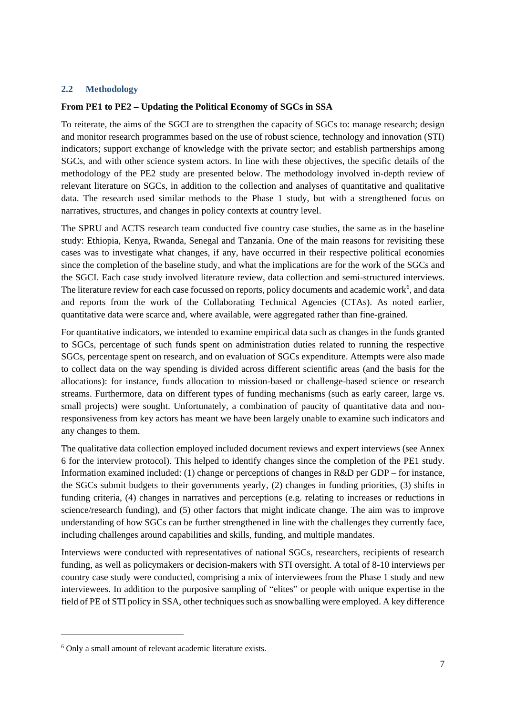#### <span id="page-19-0"></span>**2.2 Methodology**

#### **From PE1 to PE2 – Updating the Political Economy of SGCs in SSA**

To reiterate, the aims of the SGCI are to strengthen the capacity of SGCs to: manage research; design and monitor research programmes based on the use of robust science, technology and innovation (STI) indicators; support exchange of knowledge with the private sector; and establish partnerships among SGCs, and with other science system actors. In line with these objectives, the specific details of the methodology of the PE2 study are presented below. The methodology involved in-depth review of relevant literature on SGCs, in addition to the collection and analyses of quantitative and qualitative data. The research used similar methods to the Phase 1 study, but with a strengthened focus on narratives, structures, and changes in policy contexts at country level.

The SPRU and ACTS research team conducted five country case studies, the same as in the baseline study: Ethiopia, Kenya, Rwanda, Senegal and Tanzania. One of the main reasons for revisiting these cases was to investigate what changes, if any, have occurred in their respective political economies since the completion of the baseline study, and what the implications are for the work of the SGCs and the SGCI. Each case study involved literature review, data collection and semi-structured interviews. The literature review for each case focussed on reports, policy documents and academic work<sup>6</sup>, and data and reports from the work of the Collaborating Technical Agencies (CTAs). As noted earlier, quantitative data were scarce and, where available, were aggregated rather than fine-grained.

For quantitative indicators, we intended to examine empirical data such as changes in the funds granted to SGCs, percentage of such funds spent on administration duties related to running the respective SGCs, percentage spent on research, and on evaluation of SGCs expenditure. Attempts were also made to collect data on the way spending is divided across different scientific areas (and the basis for the allocations): for instance, funds allocation to mission-based or challenge-based science or research streams. Furthermore, data on different types of funding mechanisms (such as early career, large vs. small projects) were sought. Unfortunately, a combination of paucity of quantitative data and nonresponsiveness from key actors has meant we have been largely unable to examine such indicators and any changes to them.

The qualitative data collection employed included document reviews and expert interviews (see Annex 6 for the interview protocol). This helped to identify changes since the completion of the PE1 study. Information examined included: (1) change or perceptions of changes in R&D per GDP – for instance, the SGCs submit budgets to their governments yearly, (2) changes in funding priorities, (3) shifts in funding criteria, (4) changes in narratives and perceptions (e.g. relating to increases or reductions in science/research funding), and (5) other factors that might indicate change. The aim was to improve understanding of how SGCs can be further strengthened in line with the challenges they currently face, including challenges around capabilities and skills, funding, and multiple mandates.

Interviews were conducted with representatives of national SGCs, researchers, recipients of research funding, as well as policymakers or decision-makers with STI oversight. A total of 8-10 interviews per country case study were conducted, comprising a mix of interviewees from the Phase 1 study and new interviewees. In addition to the purposive sampling of "elites" or people with unique expertise in the field of PE of STI policy in SSA, other techniques such as snowballing were employed. A key difference

<sup>6</sup> Only a small amount of relevant academic literature exists.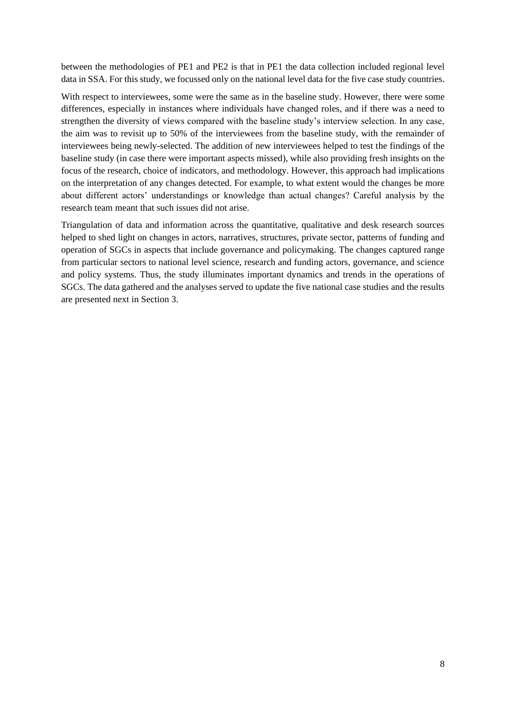between the methodologies of PE1 and PE2 is that in PE1 the data collection included regional level data in SSA. For this study, we focussed only on the national level data for the five case study countries.

With respect to interviewees, some were the same as in the baseline study. However, there were some differences, especially in instances where individuals have changed roles, and if there was a need to strengthen the diversity of views compared with the baseline study's interview selection. In any case, the aim was to revisit up to 50% of the interviewees from the baseline study, with the remainder of interviewees being newly-selected. The addition of new interviewees helped to test the findings of the baseline study (in case there were important aspects missed), while also providing fresh insights on the focus of the research, choice of indicators, and methodology. However, this approach had implications on the interpretation of any changes detected. For example, to what extent would the changes be more about different actors' understandings or knowledge than actual changes? Careful analysis by the research team meant that such issues did not arise.

Triangulation of data and information across the quantitative, qualitative and desk research sources helped to shed light on changes in actors, narratives, structures, private sector, patterns of funding and operation of SGCs in aspects that include governance and policymaking. The changes captured range from particular sectors to national level science, research and funding actors, governance, and science and policy systems. Thus, the study illuminates important dynamics and trends in the operations of SGCs. The data gathered and the analyses served to update the five national case studies and the results are presented next in Section 3.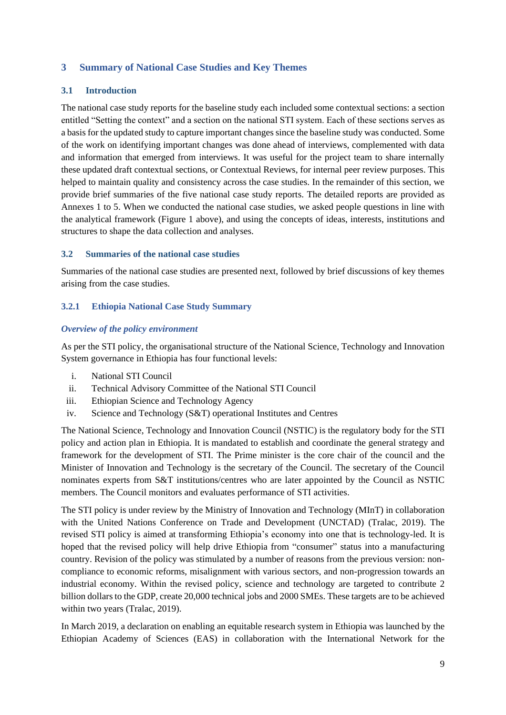#### <span id="page-21-0"></span>**3 Summary of National Case Studies and Key Themes**

#### <span id="page-21-1"></span>**3.1 Introduction**

The national case study reports for the baseline study each included some contextual sections: a section entitled "Setting the context" and a section on the national STI system. Each of these sections serves as a basis for the updated study to capture important changes since the baseline study was conducted. Some of the work on identifying important changes was done ahead of interviews, complemented with data and information that emerged from interviews. It was useful for the project team to share internally these updated draft contextual sections, or Contextual Reviews, for internal peer review purposes. This helped to maintain quality and consistency across the case studies. In the remainder of this section, we provide brief summaries of the five national case study reports. The detailed reports are provided as Annexes 1 to 5. When we conducted the national case studies, we asked people questions in line with the analytical framework (Figure 1 above), and using the concepts of ideas, interests, institutions and structures to shape the data collection and analyses.

#### <span id="page-21-2"></span>**3.2 Summaries of the national case studies**

Summaries of the national case studies are presented next, followed by brief discussions of key themes arising from the case studies.

#### <span id="page-21-3"></span>**3.2.1 Ethiopia National Case Study Summary**

#### *Overview of the policy environment*

As per the STI policy, the organisational structure of the National Science, Technology and Innovation System governance in Ethiopia has four functional levels:

- i. National STI Council
- ii. Technical Advisory Committee of the National STI Council
- iii. Ethiopian Science and Technology Agency
- iv. Science and Technology (S&T) operational Institutes and Centres

The National Science, Technology and Innovation Council (NSTIC) is the regulatory body for the STI policy and action plan in Ethiopia. It is mandated to establish and coordinate the general strategy and framework for the development of STI. The Prime minister is the core chair of the council and the Minister of Innovation and Technology is the secretary of the Council. The secretary of the Council nominates experts from S&T institutions/centres who are later appointed by the Council as NSTIC members. The Council monitors and evaluates performance of STI activities.

The STI policy is under review by the Ministry of Innovation and Technology (MInT) in collaboration with the United Nations Conference on Trade and Development (UNCTAD) (Tralac, 2019). The revised STI policy is aimed at transforming Ethiopia's economy into one that is technology-led. It is hoped that the revised policy will help drive Ethiopia from "consumer" status into a manufacturing country. Revision of the policy was stimulated by a number of reasons from the previous version: noncompliance to economic reforms, misalignment with various sectors, and non-progression towards an industrial economy. Within the revised policy, science and technology are targeted to contribute 2 billion dollars to the GDP, create 20,000 technical jobs and 2000 SMEs. These targets are to be achieved within two years (Tralac, 2019).

In March 2019, a declaration on enabling an equitable research system in Ethiopia was launched by the Ethiopian Academy of Sciences (EAS) in collaboration with the International Network for the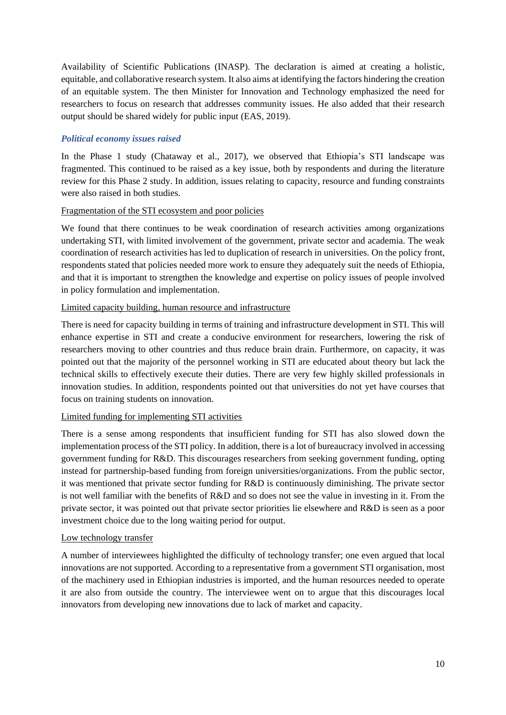Availability of Scientific Publications (INASP). The declaration is aimed at creating a holistic, equitable, and collaborative research system. It also aims at identifying the factors hindering the creation of an equitable system. The then Minister for Innovation and Technology emphasized the need for researchers to focus on research that addresses community issues. He also added that their research output should be shared widely for public input (EAS, 2019).

#### *Political economy issues raised*

In the Phase 1 study (Chataway et al., 2017), we observed that Ethiopia's STI landscape was fragmented. This continued to be raised as a key issue, both by respondents and during the literature review for this Phase 2 study. In addition, issues relating to capacity, resource and funding constraints were also raised in both studies.

#### Fragmentation of the STI ecosystem and poor policies

We found that there continues to be weak coordination of research activities among organizations undertaking STI, with limited involvement of the government, private sector and academia. The weak coordination of research activities has led to duplication of research in universities. On the policy front, respondents stated that policies needed more work to ensure they adequately suit the needs of Ethiopia, and that it is important to strengthen the knowledge and expertise on policy issues of people involved in policy formulation and implementation.

#### Limited capacity building, human resource and infrastructure

There is need for capacity building in terms of training and infrastructure development in STI. This will enhance expertise in STI and create a conducive environment for researchers, lowering the risk of researchers moving to other countries and thus reduce brain drain. Furthermore, on capacity, it was pointed out that the majority of the personnel working in STI are educated about theory but lack the technical skills to effectively execute their duties. There are very few highly skilled professionals in innovation studies. In addition, respondents pointed out that universities do not yet have courses that focus on training students on innovation.

#### Limited funding for implementing STI activities

There is a sense among respondents that insufficient funding for STI has also slowed down the implementation process of the STI policy. In addition, there is a lot of bureaucracy involved in accessing government funding for R&D. This discourages researchers from seeking government funding, opting instead for partnership-based funding from foreign universities/organizations. From the public sector, it was mentioned that private sector funding for R&D is continuously diminishing. The private sector is not well familiar with the benefits of R&D and so does not see the value in investing in it. From the private sector, it was pointed out that private sector priorities lie elsewhere and R&D is seen as a poor investment choice due to the long waiting period for output.

#### Low technology transfer

A number of interviewees highlighted the difficulty of technology transfer; one even argued that local innovations are not supported. According to a representative from a government STI organisation, most of the machinery used in Ethiopian industries is imported, and the human resources needed to operate it are also from outside the country. The interviewee went on to argue that this discourages local innovators from developing new innovations due to lack of market and capacity.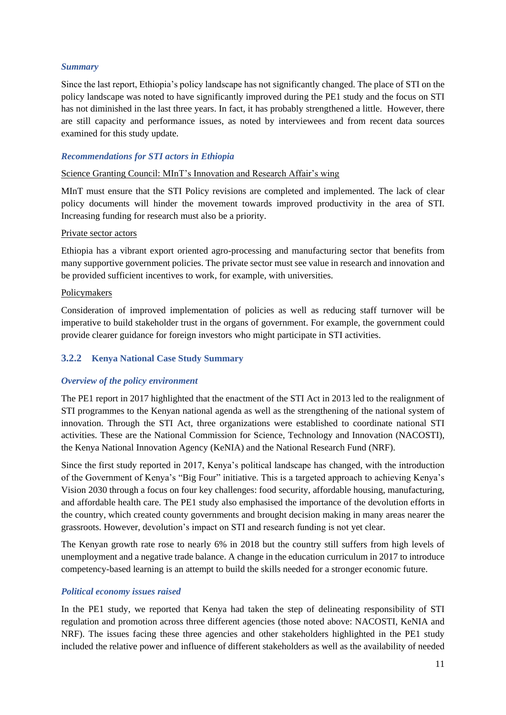#### *Summary*

Since the last report, Ethiopia's policy landscape has not significantly changed. The place of STI on the policy landscape was noted to have significantly improved during the PE1 study and the focus on STI has not diminished in the last three years. In fact, it has probably strengthened a little. However, there are still capacity and performance issues, as noted by interviewees and from recent data sources examined for this study update.

#### *Recommendations for STI actors in Ethiopia*

#### Science Granting Council: MInT's Innovation and Research Affair's wing

MInT must ensure that the STI Policy revisions are completed and implemented. The lack of clear policy documents will hinder the movement towards improved productivity in the area of STI. Increasing funding for research must also be a priority.

#### Private sector actors

Ethiopia has a vibrant export oriented agro-processing and manufacturing sector that benefits from many supportive government policies. The private sector must see value in research and innovation and be provided sufficient incentives to work, for example, with universities.

#### Policymakers

Consideration of improved implementation of policies as well as reducing staff turnover will be imperative to build stakeholder trust in the organs of government. For example, the government could provide clearer guidance for foreign investors who might participate in STI activities.

#### <span id="page-23-0"></span>**3.2.2 Kenya National Case Study Summary**

#### *Overview of the policy environment*

The PE1 report in 2017 highlighted that the enactment of the STI Act in 2013 led to the realignment of STI programmes to the Kenyan national agenda as well as the strengthening of the national system of innovation. Through the STI Act, three organizations were established to coordinate national STI activities. These are the National Commission for Science, Technology and Innovation (NACOSTI), the Kenya National Innovation Agency (KeNIA) and the National Research Fund (NRF).

Since the first study reported in 2017, Kenya's political landscape has changed, with the introduction of the Government of Kenya's "Big Four" initiative. This is a targeted approach to achieving Kenya's Vision 2030 through a focus on four key challenges: food security, affordable housing, manufacturing, and affordable health care. The PE1 study also emphasised the importance of the devolution efforts in the country, which created county governments and brought decision making in many areas nearer the grassroots. However, devolution's impact on STI and research funding is not yet clear.

The Kenyan growth rate rose to nearly 6% in 2018 but the country still suffers from high levels of unemployment and a negative trade balance. A change in the education curriculum in 2017 to introduce competency-based learning is an attempt to build the skills needed for a stronger economic future.

#### *Political economy issues raised*

In the PE1 study, we reported that Kenya had taken the step of delineating responsibility of STI regulation and promotion across three different agencies (those noted above: NACOSTI, KeNIA and NRF). The issues facing these three agencies and other stakeholders highlighted in the PE1 study included the relative power and influence of different stakeholders as well as the availability of needed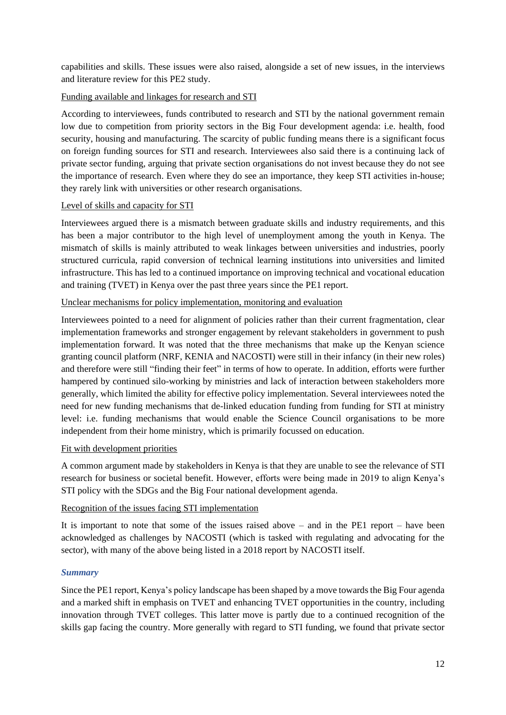capabilities and skills. These issues were also raised, alongside a set of new issues, in the interviews and literature review for this PE2 study.

#### Funding available and linkages for research and STI

According to interviewees, funds contributed to research and STI by the national government remain low due to competition from priority sectors in the Big Four development agenda: i.e. health, food security, housing and manufacturing. The scarcity of public funding means there is a significant focus on foreign funding sources for STI and research. Interviewees also said there is a continuing lack of private sector funding, arguing that private section organisations do not invest because they do not see the importance of research. Even where they do see an importance, they keep STI activities in-house; they rarely link with universities or other research organisations.

#### Level of skills and capacity for STI

Interviewees argued there is a mismatch between graduate skills and industry requirements, and this has been a major contributor to the high level of unemployment among the youth in Kenya. The mismatch of skills is mainly attributed to weak linkages between universities and industries, poorly structured curricula, rapid conversion of technical learning institutions into universities and limited infrastructure. This has led to a continued importance on improving technical and vocational education and training (TVET) in Kenya over the past three years since the PE1 report.

#### Unclear mechanisms for policy implementation, monitoring and evaluation

Interviewees pointed to a need for alignment of policies rather than their current fragmentation, clear implementation frameworks and stronger engagement by relevant stakeholders in government to push implementation forward. It was noted that the three mechanisms that make up the Kenyan science granting council platform (NRF, KENIA and NACOSTI) were still in their infancy (in their new roles) and therefore were still "finding their feet" in terms of how to operate. In addition, efforts were further hampered by continued silo-working by ministries and lack of interaction between stakeholders more generally, which limited the ability for effective policy implementation. Several interviewees noted the need for new funding mechanisms that de-linked education funding from funding for STI at ministry level: i.e. funding mechanisms that would enable the Science Council organisations to be more independent from their home ministry, which is primarily focussed on education.

#### Fit with development priorities

A common argument made by stakeholders in Kenya is that they are unable to see the relevance of STI research for business or societal benefit. However, efforts were being made in 2019 to align Kenya's STI policy with the SDGs and the Big Four national development agenda.

#### Recognition of the issues facing STI implementation

It is important to note that some of the issues raised above – and in the PE1 report – have been acknowledged as challenges by NACOSTI (which is tasked with regulating and advocating for the sector), with many of the above being listed in a 2018 report by NACOSTI itself.

#### *Summary*

Since the PE1 report, Kenya's policy landscape has been shaped by a move towards the Big Four agenda and a marked shift in emphasis on TVET and enhancing TVET opportunities in the country, including innovation through TVET colleges. This latter move is partly due to a continued recognition of the skills gap facing the country. More generally with regard to STI funding, we found that private sector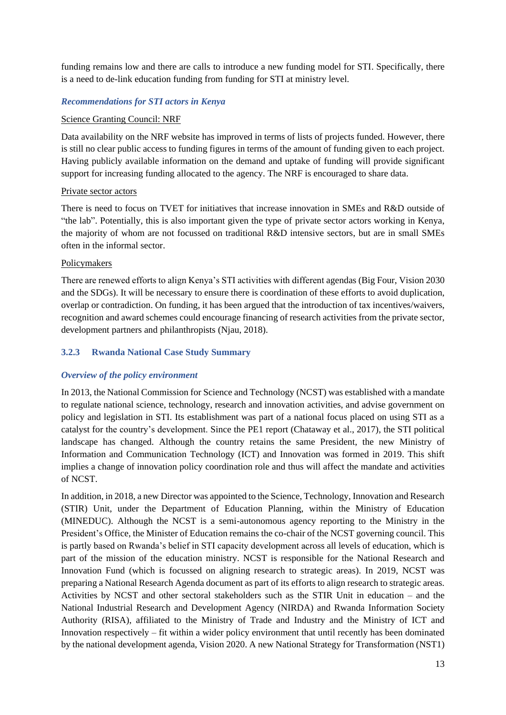funding remains low and there are calls to introduce a new funding model for STI. Specifically, there is a need to de-link education funding from funding for STI at ministry level.

#### *Recommendations for STI actors in Kenya*

#### Science Granting Council: NRF

Data availability on the NRF website has improved in terms of lists of projects funded. However, there is still no clear public access to funding figures in terms of the amount of funding given to each project. Having publicly available information on the demand and uptake of funding will provide significant support for increasing funding allocated to the agency. The NRF is encouraged to share data.

#### Private sector actors

There is need to focus on TVET for initiatives that increase innovation in SMEs and R&D outside of "the lab". Potentially, this is also important given the type of private sector actors working in Kenya, the majority of whom are not focussed on traditional R&D intensive sectors, but are in small SMEs often in the informal sector.

#### Policymakers

There are renewed efforts to align Kenya's STI activities with different agendas (Big Four, Vision 2030 and the SDGs). It will be necessary to ensure there is coordination of these efforts to avoid duplication, overlap or contradiction. On funding, it has been argued that the introduction of tax incentives/waivers, recognition and award schemes could encourage financing of research activities from the private sector, development partners and philanthropists (Njau, 2018).

#### <span id="page-25-0"></span>**3.2.3 Rwanda National Case Study Summary**

#### *Overview of the policy environment*

In 2013, the National Commission for Science and Technology (NCST) was established with a mandate to regulate national science, technology, research and innovation activities, and advise government on policy and legislation in STI. Its establishment was part of a national focus placed on using STI as a catalyst for the country's development. Since the PE1 report (Chataway et al., 2017), the STI political landscape has changed. Although the country retains the same President, the new Ministry of Information and Communication Technology (ICT) and Innovation was formed in 2019. This shift implies a change of innovation policy coordination role and thus will affect the mandate and activities of NCST.

In addition, in 2018, a new Director was appointed to the Science, Technology, Innovation and Research (STIR) Unit, under the Department of Education Planning, within the Ministry of Education (MINEDUC). Although the NCST is a semi-autonomous agency reporting to the Ministry in the President's Office, the Minister of Education remains the co-chair of the NCST governing council. This is partly based on Rwanda's belief in STI capacity development across all levels of education, which is part of the mission of the education ministry. NCST is responsible for the National Research and Innovation Fund (which is focussed on aligning research to strategic areas). In 2019, NCST was preparing a National Research Agenda document as part of its efforts to align research to strategic areas. Activities by NCST and other sectoral stakeholders such as the STIR Unit in education – and the National Industrial Research and Development Agency (NIRDA) and Rwanda Information Society Authority (RISA), affiliated to the Ministry of Trade and Industry and the Ministry of ICT and Innovation respectively – fit within a wider policy environment that until recently has been dominated by the national development agenda, Vision 2020. A new National Strategy for Transformation (NST1)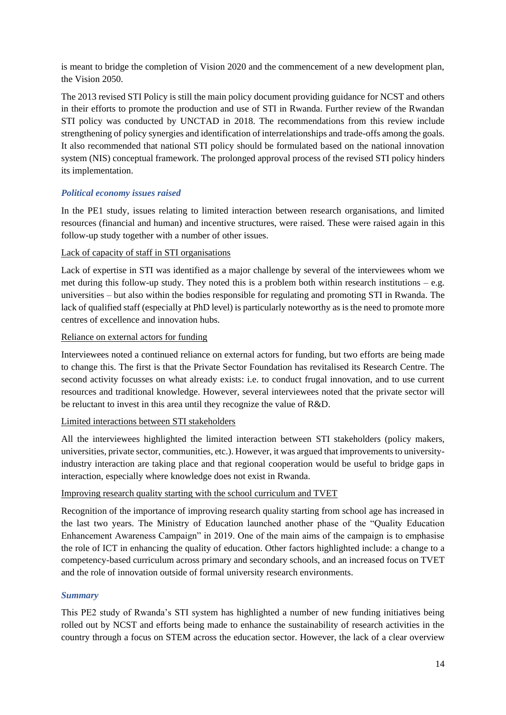is meant to bridge the completion of Vision 2020 and the commencement of a new development plan, the Vision 2050.

The 2013 revised STI Policy is still the main policy document providing guidance for NCST and others in their efforts to promote the production and use of STI in Rwanda. Further review of the Rwandan STI policy was conducted by UNCTAD in 2018. The recommendations from this review include strengthening of policy synergies and identification of interrelationships and trade-offs among the goals. It also recommended that national STI policy should be formulated based on the national innovation system (NIS) conceptual framework. The prolonged approval process of the revised STI policy hinders its implementation.

#### *Political economy issues raised*

In the PE1 study, issues relating to limited interaction between research organisations, and limited resources (financial and human) and incentive structures, were raised. These were raised again in this follow-up study together with a number of other issues.

#### Lack of capacity of staff in STI organisations

Lack of expertise in STI was identified as a major challenge by several of the interviewees whom we met during this follow-up study. They noted this is a problem both within research institutions – e.g. universities – but also within the bodies responsible for regulating and promoting STI in Rwanda. The lack of qualified staff (especially at PhD level) is particularly noteworthy as is the need to promote more centres of excellence and innovation hubs.

#### Reliance on external actors for funding

Interviewees noted a continued reliance on external actors for funding, but two efforts are being made to change this. The first is that the Private Sector Foundation has revitalised its Research Centre. The second activity focusses on what already exists: i.e. to conduct frugal innovation, and to use current resources and traditional knowledge. However, several interviewees noted that the private sector will be reluctant to invest in this area until they recognize the value of R&D.

#### Limited interactions between STI stakeholders

All the interviewees highlighted the limited interaction between STI stakeholders (policy makers, universities, private sector, communities, etc.). However, it was argued that improvements to universityindustry interaction are taking place and that regional cooperation would be useful to bridge gaps in interaction, especially where knowledge does not exist in Rwanda.

#### Improving research quality starting with the school curriculum and TVET

Recognition of the importance of improving research quality starting from school age has increased in the last two years. The Ministry of Education launched another phase of the "Quality Education Enhancement Awareness Campaign" in 2019. One of the main aims of the campaign is to emphasise the role of ICT in enhancing the quality of education. Other factors highlighted include: a change to a competency-based curriculum across primary and secondary schools, and an increased focus on TVET and the role of innovation outside of formal university research environments.

#### *Summary*

This PE2 study of Rwanda's STI system has highlighted a number of new funding initiatives being rolled out by NCST and efforts being made to enhance the sustainability of research activities in the country through a focus on STEM across the education sector. However, the lack of a clear overview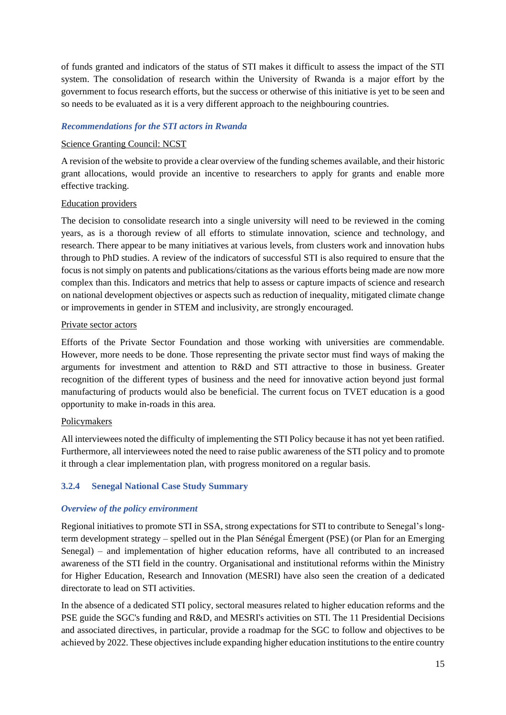of funds granted and indicators of the status of STI makes it difficult to assess the impact of the STI system. The consolidation of research within the University of Rwanda is a major effort by the government to focus research efforts, but the success or otherwise of this initiative is yet to be seen and so needs to be evaluated as it is a very different approach to the neighbouring countries.

#### *Recommendations for the STI actors in Rwanda*

#### Science Granting Council: NCST

A revision of the website to provide a clear overview of the funding schemes available, and their historic grant allocations, would provide an incentive to researchers to apply for grants and enable more effective tracking.

#### Education providers

The decision to consolidate research into a single university will need to be reviewed in the coming years, as is a thorough review of all efforts to stimulate innovation, science and technology, and research. There appear to be many initiatives at various levels, from clusters work and innovation hubs through to PhD studies. A review of the indicators of successful STI is also required to ensure that the focus is not simply on patents and publications/citations as the various efforts being made are now more complex than this. Indicators and metrics that help to assess or capture impacts of science and research on national development objectives or aspects such as reduction of inequality, mitigated climate change or improvements in gender in STEM and inclusivity, are strongly encouraged.

#### Private sector actors

Efforts of the Private Sector Foundation and those working with universities are commendable. However, more needs to be done. Those representing the private sector must find ways of making the arguments for investment and attention to R&D and STI attractive to those in business. Greater recognition of the different types of business and the need for innovative action beyond just formal manufacturing of products would also be beneficial. The current focus on TVET education is a good opportunity to make in-roads in this area.

#### Policymakers

All interviewees noted the difficulty of implementing the STI Policy because it has not yet been ratified. Furthermore, all interviewees noted the need to raise public awareness of the STI policy and to promote it through a clear implementation plan, with progress monitored on a regular basis.

#### <span id="page-27-0"></span>**3.2.4 Senegal National Case Study Summary**

#### *Overview of the policy environment*

Regional initiatives to promote STI in SSA, strong expectations for STI to contribute to Senegal's longterm development strategy – spelled out in the Plan Sénégal Émergent (PSE) (or Plan for an Emerging Senegal) – and implementation of higher education reforms, have all contributed to an increased awareness of the STI field in the country. Organisational and institutional reforms within the Ministry for Higher Education, Research and Innovation (MESRI) have also seen the creation of a dedicated directorate to lead on STI activities.

In the absence of a dedicated STI policy, sectoral measures related to higher education reforms and the PSE guide the SGC's funding and R&D, and MESRI's activities on STI. The 11 Presidential Decisions and associated directives, in particular, provide a roadmap for the SGC to follow and objectives to be achieved by 2022. These objectives include expanding higher education institutions to the entire country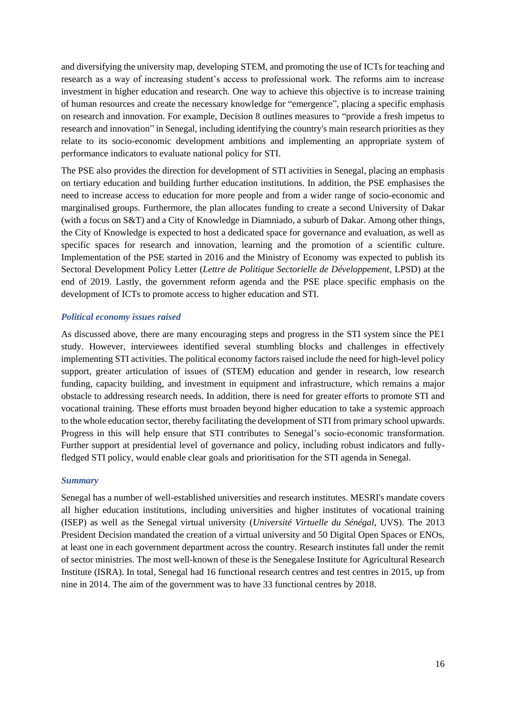and diversifying the university map, developing STEM, and promoting the use of ICTs for teaching and research as a way of increasing student's access to professional work. The reforms aim to increase investment in higher education and research. One way to achieve this objective is to increase training of human resources and create the necessary knowledge for "emergence", placing a specific emphasis on research and innovation. For example, Decision 8 outlines measures to "provide a fresh impetus to research and innovation" in Senegal, including identifying the country's main research priorities as they relate to its socio-economic development ambitions and implementing an appropriate system of performance indicators to evaluate national policy for STI.

The PSE also provides the direction for development of STI activities in Senegal, placing an emphasis on tertiary education and building further education institutions. In addition, the PSE emphasises the need to increase access to education for more people and from a wider range of socio-economic and marginalised groups. Furthermore, the plan allocates funding to create a second University of Dakar (with a focus on S&T) and a City of Knowledge in Diamniado, a suburb of Dakar. Among other things, the City of Knowledge is expected to host a dedicated space for governance and evaluation, as well as specific spaces for research and innovation, learning and the promotion of a scientific culture. Implementation of the PSE started in 2016 and the Ministry of Economy was expected to publish its Sectoral Development Policy Letter (*Lettre de Politique Sectorielle de Développement*, LPSD) at the end of 2019. Lastly, the government reform agenda and the PSE place specific emphasis on the development of ICTs to promote access to higher education and STI.

#### *Political economy issues raised*

As discussed above, there are many encouraging steps and progress in the STI system since the PE1 study. However, interviewees identified several stumbling blocks and challenges in effectively implementing STI activities. The political economy factors raised include the need for high-level policy support, greater articulation of issues of (STEM) education and gender in research, low research funding, capacity building, and investment in equipment and infrastructure, which remains a major obstacle to addressing research needs. In addition, there is need for greater efforts to promote STI and vocational training. These efforts must broaden beyond higher education to take a systemic approach to the whole education sector, thereby facilitating the development of STI from primary school upwards. Progress in this will help ensure that STI contributes to Senegal's socio-economic transformation. Further support at presidential level of governance and policy, including robust indicators and fullyfledged STI policy, would enable clear goals and prioritisation for the STI agenda in Senegal.

#### *Summary*

Senegal has a number of well-established universities and research institutes. MESRI's mandate covers all higher education institutions, including universities and higher institutes of vocational training (ISEP) as well as the Senegal virtual university (*Université Virtuelle du Sénégal*, UVS). The 2013 President Decision mandated the creation of a virtual university and 50 Digital Open Spaces or ENOs, at least one in each government department across the country. Research institutes fall under the remit of sector ministries. The most well-known of these is the Senegalese Institute for Agricultural Research Institute (ISRA). In total, Senegal had 16 functional research centres and test centres in 2015, up from nine in 2014. The aim of the government was to have 33 functional centres by 2018.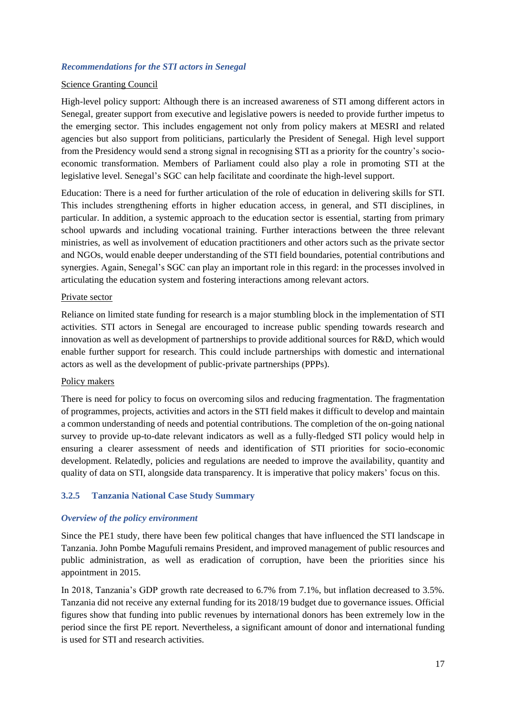#### *Recommendations for the STI actors in Senegal*

#### Science Granting Council

High-level policy support: Although there is an increased awareness of STI among different actors in Senegal, greater support from executive and legislative powers is needed to provide further impetus to the emerging sector. This includes engagement not only from policy makers at MESRI and related agencies but also support from politicians, particularly the President of Senegal. High level support from the Presidency would send a strong signal in recognising STI as a priority for the country's socioeconomic transformation. Members of Parliament could also play a role in promoting STI at the legislative level. Senegal's SGC can help facilitate and coordinate the high-level support.

Education: There is a need for further articulation of the role of education in delivering skills for STI. This includes strengthening efforts in higher education access, in general, and STI disciplines, in particular. In addition, a systemic approach to the education sector is essential, starting from primary school upwards and including vocational training. Further interactions between the three relevant ministries, as well as involvement of education practitioners and other actors such as the private sector and NGOs, would enable deeper understanding of the STI field boundaries, potential contributions and synergies. Again, Senegal's SGC can play an important role in this regard: in the processes involved in articulating the education system and fostering interactions among relevant actors.

#### Private sector

Reliance on limited state funding for research is a major stumbling block in the implementation of STI activities. STI actors in Senegal are encouraged to increase public spending towards research and innovation as well as development of partnerships to provide additional sources for R&D, which would enable further support for research. This could include partnerships with domestic and international actors as well as the development of public-private partnerships (PPPs).

#### Policy makers

There is need for policy to focus on overcoming silos and reducing fragmentation. The fragmentation of programmes, projects, activities and actors in the STI field makes it difficult to develop and maintain a common understanding of needs and potential contributions. The completion of the on-going national survey to provide up-to-date relevant indicators as well as a fully-fledged STI policy would help in ensuring a clearer assessment of needs and identification of STI priorities for socio-economic development. Relatedly, policies and regulations are needed to improve the availability, quantity and quality of data on STI, alongside data transparency. It is imperative that policy makers' focus on this.

#### <span id="page-29-0"></span>**3.2.5 Tanzania National Case Study Summary**

#### *Overview of the policy environment*

Since the PE1 study, there have been few political changes that have influenced the STI landscape in Tanzania. John Pombe Magufuli remains President, and improved management of public resources and public administration, as well as eradication of corruption, have been the priorities since his appointment in 2015.

In 2018, Tanzania's GDP growth rate decreased to 6.7% from 7.1%, but inflation decreased to 3.5%. Tanzania did not receive any external funding for its 2018/19 budget due to governance issues. Official figures show that funding into public revenues by international donors has been extremely low in the period since the first PE report. Nevertheless, a significant amount of donor and international funding is used for STI and research activities.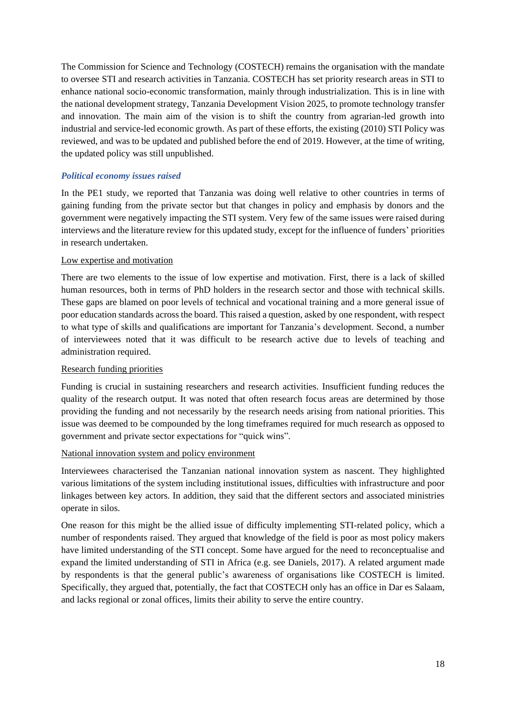The Commission for Science and Technology (COSTECH) remains the organisation with the mandate to oversee STI and research activities in Tanzania. COSTECH has set priority research areas in STI to enhance national socio-economic transformation, mainly through industrialization. This is in line with the national development strategy, Tanzania Development Vision 2025, to promote technology transfer and innovation. The main aim of the vision is to shift the country from agrarian-led growth into industrial and service-led economic growth. As part of these efforts, the existing (2010) STI Policy was reviewed, and was to be updated and published before the end of 2019. However, at the time of writing, the updated policy was still unpublished.

#### *Political economy issues raised*

In the PE1 study, we reported that Tanzania was doing well relative to other countries in terms of gaining funding from the private sector but that changes in policy and emphasis by donors and the government were negatively impacting the STI system. Very few of the same issues were raised during interviews and the literature review for this updated study, except for the influence of funders' priorities in research undertaken.

#### Low expertise and motivation

There are two elements to the issue of low expertise and motivation. First, there is a lack of skilled human resources, both in terms of PhD holders in the research sector and those with technical skills. These gaps are blamed on poor levels of technical and vocational training and a more general issue of poor education standards across the board. This raised a question, asked by one respondent, with respect to what type of skills and qualifications are important for Tanzania's development. Second, a number of interviewees noted that it was difficult to be research active due to levels of teaching and administration required.

#### Research funding priorities

Funding is crucial in sustaining researchers and research activities. Insufficient funding reduces the quality of the research output. It was noted that often research focus areas are determined by those providing the funding and not necessarily by the research needs arising from national priorities. This issue was deemed to be compounded by the long timeframes required for much research as opposed to government and private sector expectations for "quick wins".

#### National innovation system and policy environment

Interviewees characterised the Tanzanian national innovation system as nascent. They highlighted various limitations of the system including institutional issues, difficulties with infrastructure and poor linkages between key actors. In addition, they said that the different sectors and associated ministries operate in silos.

One reason for this might be the allied issue of difficulty implementing STI-related policy, which a number of respondents raised. They argued that knowledge of the field is poor as most policy makers have limited understanding of the STI concept. Some have argued for the need to reconceptualise and expand the limited understanding of STI in Africa (e.g. see Daniels, 2017). A related argument made by respondents is that the general public's awareness of organisations like COSTECH is limited. Specifically, they argued that, potentially, the fact that COSTECH only has an office in Dar es Salaam, and lacks regional or zonal offices, limits their ability to serve the entire country.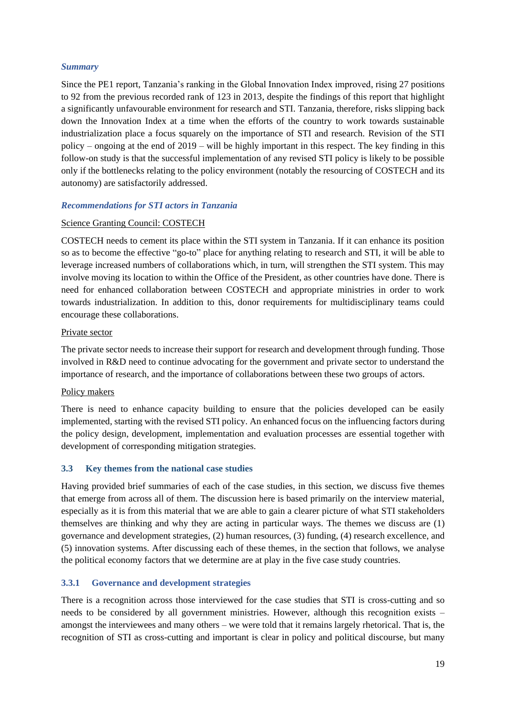#### *Summary*

Since the PE1 report, Tanzania's ranking in the Global Innovation Index improved, rising 27 positions to 92 from the previous recorded rank of 123 in 2013, despite the findings of this report that highlight a significantly unfavourable environment for research and STI. Tanzania, therefore, risks slipping back down the Innovation Index at a time when the efforts of the country to work towards sustainable industrialization place a focus squarely on the importance of STI and research. Revision of the STI policy – ongoing at the end of 2019 – will be highly important in this respect. The key finding in this follow-on study is that the successful implementation of any revised STI policy is likely to be possible only if the bottlenecks relating to the policy environment (notably the resourcing of COSTECH and its autonomy) are satisfactorily addressed.

#### *Recommendations for STI actors in Tanzania*

#### Science Granting Council: COSTECH

COSTECH needs to cement its place within the STI system in Tanzania. If it can enhance its position so as to become the effective "go-to" place for anything relating to research and STI, it will be able to leverage increased numbers of collaborations which, in turn, will strengthen the STI system. This may involve moving its location to within the Office of the President, as other countries have done. There is need for enhanced collaboration between COSTECH and appropriate ministries in order to work towards industrialization. In addition to this, donor requirements for multidisciplinary teams could encourage these collaborations.

#### Private sector

The private sector needs to increase their support for research and development through funding. Those involved in R&D need to continue advocating for the government and private sector to understand the importance of research, and the importance of collaborations between these two groups of actors.

#### Policy makers

There is need to enhance capacity building to ensure that the policies developed can be easily implemented, starting with the revised STI policy. An enhanced focus on the influencing factors during the policy design, development, implementation and evaluation processes are essential together with development of corresponding mitigation strategies.

#### <span id="page-31-0"></span>**3.3 Key themes from the national case studies**

Having provided brief summaries of each of the case studies, in this section, we discuss five themes that emerge from across all of them. The discussion here is based primarily on the interview material, especially as it is from this material that we are able to gain a clearer picture of what STI stakeholders themselves are thinking and why they are acting in particular ways. The themes we discuss are (1) governance and development strategies, (2) human resources, (3) funding, (4) research excellence, and (5) innovation systems. After discussing each of these themes, in the section that follows, we analyse the political economy factors that we determine are at play in the five case study countries.

#### <span id="page-31-1"></span>**3.3.1 Governance and development strategies**

There is a recognition across those interviewed for the case studies that STI is cross-cutting and so needs to be considered by all government ministries. However, although this recognition exists – amongst the interviewees and many others – we were told that it remains largely rhetorical. That is, the recognition of STI as cross-cutting and important is clear in policy and political discourse, but many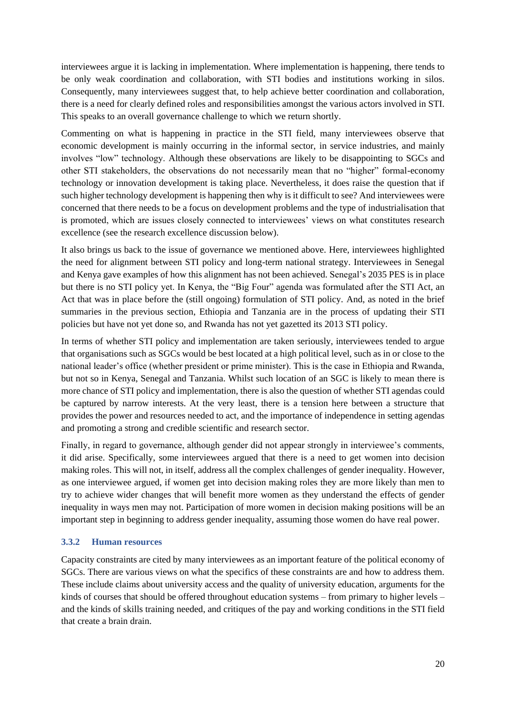interviewees argue it is lacking in implementation. Where implementation is happening, there tends to be only weak coordination and collaboration, with STI bodies and institutions working in silos. Consequently, many interviewees suggest that, to help achieve better coordination and collaboration, there is a need for clearly defined roles and responsibilities amongst the various actors involved in STI. This speaks to an overall governance challenge to which we return shortly.

Commenting on what is happening in practice in the STI field, many interviewees observe that economic development is mainly occurring in the informal sector, in service industries, and mainly involves "low" technology. Although these observations are likely to be disappointing to SGCs and other STI stakeholders, the observations do not necessarily mean that no "higher" formal-economy technology or innovation development is taking place. Nevertheless, it does raise the question that if such higher technology development is happening then why is it difficult to see? And interviewees were concerned that there needs to be a focus on development problems and the type of industrialisation that is promoted, which are issues closely connected to interviewees' views on what constitutes research excellence (see the research excellence discussion below).

It also brings us back to the issue of governance we mentioned above. Here, interviewees highlighted the need for alignment between STI policy and long-term national strategy. Interviewees in Senegal and Kenya gave examples of how this alignment has not been achieved. Senegal's 2035 PES is in place but there is no STI policy yet. In Kenya, the "Big Four" agenda was formulated after the STI Act, an Act that was in place before the (still ongoing) formulation of STI policy. And, as noted in the brief summaries in the previous section, Ethiopia and Tanzania are in the process of updating their STI policies but have not yet done so, and Rwanda has not yet gazetted its 2013 STI policy.

In terms of whether STI policy and implementation are taken seriously, interviewees tended to argue that organisations such as SGCs would be best located at a high political level, such as in or close to the national leader's office (whether president or prime minister). This is the case in Ethiopia and Rwanda, but not so in Kenya, Senegal and Tanzania. Whilst such location of an SGC is likely to mean there is more chance of STI policy and implementation, there is also the question of whether STI agendas could be captured by narrow interests. At the very least, there is a tension here between a structure that provides the power and resources needed to act, and the importance of independence in setting agendas and promoting a strong and credible scientific and research sector.

Finally, in regard to governance, although gender did not appear strongly in interviewee's comments, it did arise. Specifically, some interviewees argued that there is a need to get women into decision making roles. This will not, in itself, address all the complex challenges of gender inequality. However, as one interviewee argued, if women get into decision making roles they are more likely than men to try to achieve wider changes that will benefit more women as they understand the effects of gender inequality in ways men may not. Participation of more women in decision making positions will be an important step in beginning to address gender inequality, assuming those women do have real power.

#### <span id="page-32-0"></span>**3.3.2 Human resources**

Capacity constraints are cited by many interviewees as an important feature of the political economy of SGCs. There are various views on what the specifics of these constraints are and how to address them. These include claims about university access and the quality of university education, arguments for the kinds of courses that should be offered throughout education systems – from primary to higher levels – and the kinds of skills training needed, and critiques of the pay and working conditions in the STI field that create a brain drain.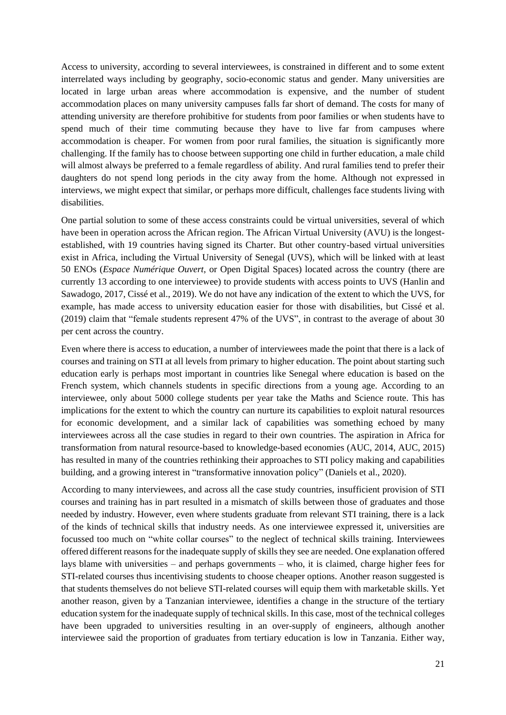Access to university, according to several interviewees, is constrained in different and to some extent interrelated ways including by geography, socio-economic status and gender. Many universities are located in large urban areas where accommodation is expensive, and the number of student accommodation places on many university campuses falls far short of demand. The costs for many of attending university are therefore prohibitive for students from poor families or when students have to spend much of their time commuting because they have to live far from campuses where accommodation is cheaper. For women from poor rural families, the situation is significantly more challenging. If the family has to choose between supporting one child in further education, a male child will almost always be preferred to a female regardless of ability. And rural families tend to prefer their daughters do not spend long periods in the city away from the home. Although not expressed in interviews, we might expect that similar, or perhaps more difficult, challenges face students living with disabilities.

One partial solution to some of these access constraints could be virtual universities, several of which have been in operation across the African region. The African Virtual University (AVU) is the longestestablished, with 19 countries having signed its Charter. But other country-based virtual universities exist in Africa, including the Virtual University of Senegal (UVS), which will be linked with at least 50 ENOs (*Espace Numérique Ouvert*, or Open Digital Spaces) located across the country (there are currently 13 according to one interviewee) to provide students with access points to UVS (Hanlin and Sawadogo, 2017, Cissé et al., 2019). We do not have any indication of the extent to which the UVS, for example, has made access to university education easier for those with disabilities, but Cissé et al. (2019) claim that "female students represent 47% of the UVS", in contrast to the average of about 30 per cent across the country.

Even where there is access to education, a number of interviewees made the point that there is a lack of courses and training on STI at all levels from primary to higher education. The point about starting such education early is perhaps most important in countries like Senegal where education is based on the French system, which channels students in specific directions from a young age. According to an interviewee, only about 5000 college students per year take the Maths and Science route. This has implications for the extent to which the country can nurture its capabilities to exploit natural resources for economic development, and a similar lack of capabilities was something echoed by many interviewees across all the case studies in regard to their own countries. The aspiration in Africa for transformation from natural resource-based to knowledge-based economies (AUC, 2014, AUC, 2015) has resulted in many of the countries rethinking their approaches to STI policy making and capabilities building, and a growing interest in "transformative innovation policy" (Daniels et al., 2020).

According to many interviewees, and across all the case study countries, insufficient provision of STI courses and training has in part resulted in a mismatch of skills between those of graduates and those needed by industry. However, even where students graduate from relevant STI training, there is a lack of the kinds of technical skills that industry needs. As one interviewee expressed it, universities are focussed too much on "white collar courses" to the neglect of technical skills training. Interviewees offered different reasons for the inadequate supply of skills they see are needed. One explanation offered lays blame with universities – and perhaps governments – who, it is claimed, charge higher fees for STI-related courses thus incentivising students to choose cheaper options. Another reason suggested is that students themselves do not believe STI-related courses will equip them with marketable skills. Yet another reason, given by a Tanzanian interviewee, identifies a change in the structure of the tertiary education system for the inadequate supply of technical skills. In this case, most of the technical colleges have been upgraded to universities resulting in an over-supply of engineers, although another interviewee said the proportion of graduates from tertiary education is low in Tanzania. Either way,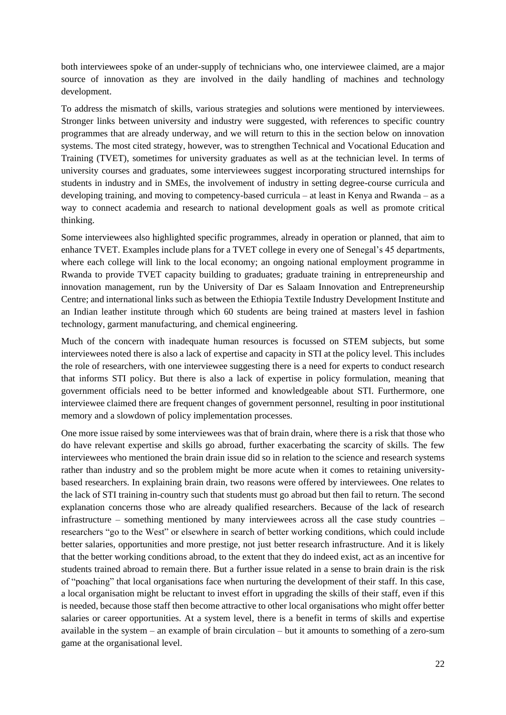both interviewees spoke of an under-supply of technicians who, one interviewee claimed, are a major source of innovation as they are involved in the daily handling of machines and technology development.

To address the mismatch of skills, various strategies and solutions were mentioned by interviewees. Stronger links between university and industry were suggested, with references to specific country programmes that are already underway, and we will return to this in the section below on innovation systems. The most cited strategy, however, was to strengthen Technical and Vocational Education and Training (TVET), sometimes for university graduates as well as at the technician level. In terms of university courses and graduates, some interviewees suggest incorporating structured internships for students in industry and in SMEs, the involvement of industry in setting degree-course curricula and developing training, and moving to competency-based curricula – at least in Kenya and Rwanda – as a way to connect academia and research to national development goals as well as promote critical thinking.

Some interviewees also highlighted specific programmes, already in operation or planned, that aim to enhance TVET. Examples include plans for a TVET college in every one of Senegal's 45 departments, where each college will link to the local economy; an ongoing national employment programme in Rwanda to provide TVET capacity building to graduates; graduate training in entrepreneurship and innovation management, run by the University of Dar es Salaam Innovation and Entrepreneurship Centre; and international links such as between the Ethiopia Textile Industry Development Institute and an Indian leather institute through which 60 students are being trained at masters level in fashion technology, garment manufacturing, and chemical engineering.

Much of the concern with inadequate human resources is focussed on STEM subjects, but some interviewees noted there is also a lack of expertise and capacity in STI at the policy level. This includes the role of researchers, with one interviewee suggesting there is a need for experts to conduct research that informs STI policy. But there is also a lack of expertise in policy formulation, meaning that government officials need to be better informed and knowledgeable about STI. Furthermore, one interviewee claimed there are frequent changes of government personnel, resulting in poor institutional memory and a slowdown of policy implementation processes.

One more issue raised by some interviewees was that of brain drain, where there is a risk that those who do have relevant expertise and skills go abroad, further exacerbating the scarcity of skills. The few interviewees who mentioned the brain drain issue did so in relation to the science and research systems rather than industry and so the problem might be more acute when it comes to retaining universitybased researchers. In explaining brain drain, two reasons were offered by interviewees. One relates to the lack of STI training in-country such that students must go abroad but then fail to return. The second explanation concerns those who are already qualified researchers. Because of the lack of research infrastructure – something mentioned by many interviewees across all the case study countries – researchers "go to the West" or elsewhere in search of better working conditions, which could include better salaries, opportunities and more prestige, not just better research infrastructure. And it is likely that the better working conditions abroad, to the extent that they do indeed exist, act as an incentive for students trained abroad to remain there. But a further issue related in a sense to brain drain is the risk of "poaching" that local organisations face when nurturing the development of their staff. In this case, a local organisation might be reluctant to invest effort in upgrading the skills of their staff, even if this is needed, because those staff then become attractive to other local organisations who might offer better salaries or career opportunities. At a system level, there is a benefit in terms of skills and expertise available in the system – an example of brain circulation – but it amounts to something of a zero-sum game at the organisational level.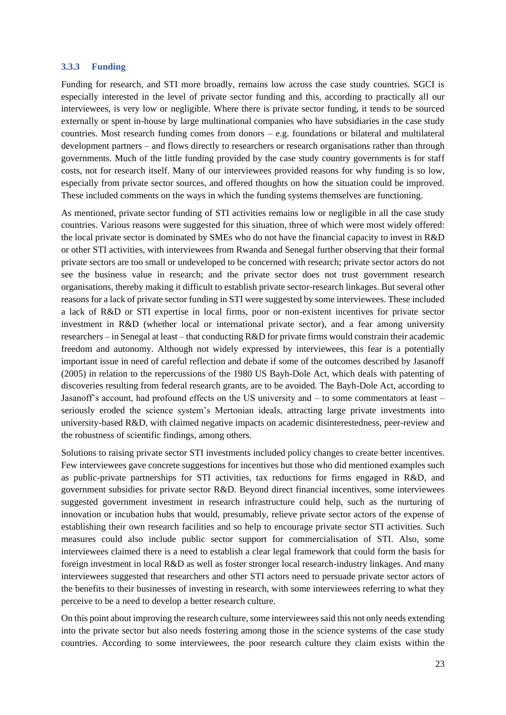#### <span id="page-35-0"></span>**3.3.3 Funding**

Funding for research, and STI more broadly, remains low across the case study countries. SGCI is especially interested in the level of private sector funding and this, according to practically all our interviewees, is very low or negligible. Where there is private sector funding, it tends to be sourced externally or spent in-house by large multinational companies who have subsidiaries in the case study countries. Most research funding comes from donors – e.g. foundations or bilateral and multilateral development partners – and flows directly to researchers or research organisations rather than through governments. Much of the little funding provided by the case study country governments is for staff costs, not for research itself. Many of our interviewees provided reasons for why funding is so low, especially from private sector sources, and offered thoughts on how the situation could be improved. These included comments on the ways in which the funding systems themselves are functioning.

As mentioned, private sector funding of STI activities remains low or negligible in all the case study countries. Various reasons were suggested for this situation, three of which were most widely offered: the local private sector is dominated by SMEs who do not have the financial capacity to invest in R&D or other STI activities, with interviewees from Rwanda and Senegal further observing that their formal private sectors are too small or undeveloped to be concerned with research; private sector actors do not see the business value in research; and the private sector does not trust government research organisations, thereby making it difficult to establish private sector-research linkages. But several other reasons for a lack of private sector funding in STI were suggested by some interviewees. These included a lack of R&D or STI expertise in local firms, poor or non-existent incentives for private sector investment in R&D (whether local or international private sector), and a fear among university researchers – in Senegal at least – that conducting R&D for private firms would constrain their academic freedom and autonomy. Although not widely expressed by interviewees, this fear is a potentially important issue in need of careful reflection and debate if some of the outcomes described by Jasanoff (2005) in relation to the repercussions of the 1980 US Bayh-Dole Act, which deals with patenting of discoveries resulting from federal research grants, are to be avoided. The Bayh-Dole Act, according to Jasanoff's account, had profound effects on the US university and – to some commentators at least – seriously eroded the science system's Mertonian ideals, attracting large private investments into university-based R&D, with claimed negative impacts on academic disinterestedness, peer-review and the robustness of scientific findings, among others.

Solutions to raising private sector STI investments included policy changes to create better incentives. Few interviewees gave concrete suggestions for incentives but those who did mentioned examples such as public-private partnerships for STI activities, tax reductions for firms engaged in R&D, and government subsidies for private sector R&D. Beyond direct financial incentives, some interviewees suggested government investment in research infrastructure could help, such as the nurturing of innovation or incubation hubs that would, presumably, relieve private sector actors of the expense of establishing their own research facilities and so help to encourage private sector STI activities. Such measures could also include public sector support for commercialisation of STI. Also, some interviewees claimed there is a need to establish a clear legal framework that could form the basis for foreign investment in local R&D as well as foster stronger local research-industry linkages. And many interviewees suggested that researchers and other STI actors need to persuade private sector actors of the benefits to their businesses of investing in research, with some interviewees referring to what they perceive to be a need to develop a better research culture.

On this point about improving the research culture, some interviewees said this not only needs extending into the private sector but also needs fostering among those in the science systems of the case study countries. According to some interviewees, the poor research culture they claim exists within the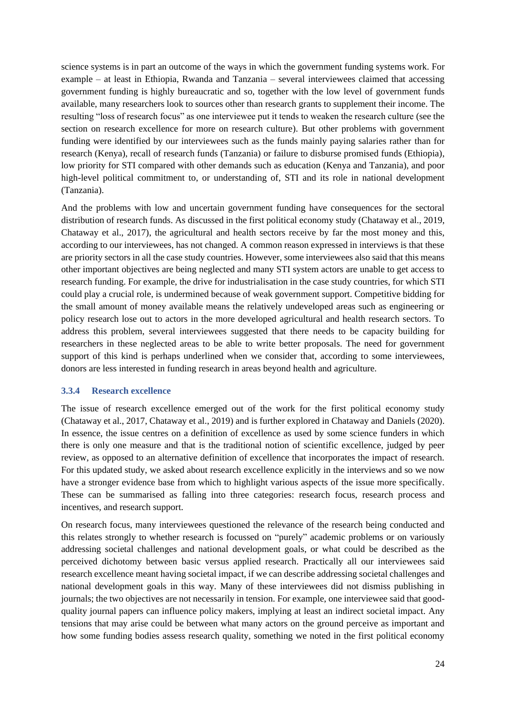science systems is in part an outcome of the ways in which the government funding systems work. For example – at least in Ethiopia, Rwanda and Tanzania – several interviewees claimed that accessing government funding is highly bureaucratic and so, together with the low level of government funds available, many researchers look to sources other than research grants to supplement their income. The resulting "loss of research focus" as one interviewee put it tends to weaken the research culture (see the section on research excellence for more on research culture). But other problems with government funding were identified by our interviewees such as the funds mainly paying salaries rather than for research (Kenya), recall of research funds (Tanzania) or failure to disburse promised funds (Ethiopia), low priority for STI compared with other demands such as education (Kenya and Tanzania), and poor high-level political commitment to, or understanding of, STI and its role in national development (Tanzania).

And the problems with low and uncertain government funding have consequences for the sectoral distribution of research funds. As discussed in the first political economy study (Chataway et al., 2019, Chataway et al., 2017), the agricultural and health sectors receive by far the most money and this, according to our interviewees, has not changed. A common reason expressed in interviews is that these are priority sectors in all the case study countries. However, some interviewees also said that this means other important objectives are being neglected and many STI system actors are unable to get access to research funding. For example, the drive for industrialisation in the case study countries, for which STI could play a crucial role, is undermined because of weak government support. Competitive bidding for the small amount of money available means the relatively undeveloped areas such as engineering or policy research lose out to actors in the more developed agricultural and health research sectors. To address this problem, several interviewees suggested that there needs to be capacity building for researchers in these neglected areas to be able to write better proposals. The need for government support of this kind is perhaps underlined when we consider that, according to some interviewees, donors are less interested in funding research in areas beyond health and agriculture.

#### <span id="page-36-0"></span>**3.3.4 Research excellence**

The issue of research excellence emerged out of the work for the first political economy study (Chataway et al., 2017, Chataway et al., 2019) and is further explored in Chataway and Daniels (2020). In essence, the issue centres on a definition of excellence as used by some science funders in which there is only one measure and that is the traditional notion of scientific excellence, judged by peer review, as opposed to an alternative definition of excellence that incorporates the impact of research. For this updated study, we asked about research excellence explicitly in the interviews and so we now have a stronger evidence base from which to highlight various aspects of the issue more specifically. These can be summarised as falling into three categories: research focus, research process and incentives, and research support.

On research focus, many interviewees questioned the relevance of the research being conducted and this relates strongly to whether research is focussed on "purely" academic problems or on variously addressing societal challenges and national development goals, or what could be described as the perceived dichotomy between basic versus applied research. Practically all our interviewees said research excellence meant having societal impact, if we can describe addressing societal challenges and national development goals in this way. Many of these interviewees did not dismiss publishing in journals; the two objectives are not necessarily in tension. For example, one interviewee said that goodquality journal papers can influence policy makers, implying at least an indirect societal impact. Any tensions that may arise could be between what many actors on the ground perceive as important and how some funding bodies assess research quality, something we noted in the first political economy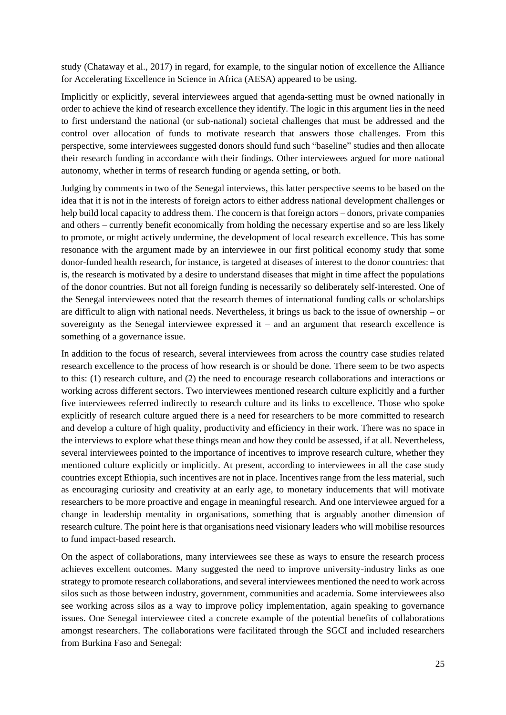study (Chataway et al., 2017) in regard, for example, to the singular notion of excellence the Alliance for Accelerating Excellence in Science in Africa (AESA) appeared to be using.

Implicitly or explicitly, several interviewees argued that agenda-setting must be owned nationally in order to achieve the kind of research excellence they identify. The logic in this argument lies in the need to first understand the national (or sub-national) societal challenges that must be addressed and the control over allocation of funds to motivate research that answers those challenges. From this perspective, some interviewees suggested donors should fund such "baseline" studies and then allocate their research funding in accordance with their findings. Other interviewees argued for more national autonomy, whether in terms of research funding or agenda setting, or both.

Judging by comments in two of the Senegal interviews, this latter perspective seems to be based on the idea that it is not in the interests of foreign actors to either address national development challenges or help build local capacity to address them. The concern is that foreign actors – donors, private companies and others – currently benefit economically from holding the necessary expertise and so are less likely to promote, or might actively undermine, the development of local research excellence. This has some resonance with the argument made by an interviewee in our first political economy study that some donor-funded health research, for instance, is targeted at diseases of interest to the donor countries: that is, the research is motivated by a desire to understand diseases that might in time affect the populations of the donor countries. But not all foreign funding is necessarily so deliberately self-interested. One of the Senegal interviewees noted that the research themes of international funding calls or scholarships are difficult to align with national needs. Nevertheless, it brings us back to the issue of ownership – or sovereignty as the Senegal interviewee expressed it – and an argument that research excellence is something of a governance issue.

In addition to the focus of research, several interviewees from across the country case studies related research excellence to the process of how research is or should be done. There seem to be two aspects to this: (1) research culture, and (2) the need to encourage research collaborations and interactions or working across different sectors. Two interviewees mentioned research culture explicitly and a further five interviewees referred indirectly to research culture and its links to excellence. Those who spoke explicitly of research culture argued there is a need for researchers to be more committed to research and develop a culture of high quality, productivity and efficiency in their work. There was no space in the interviews to explore what these things mean and how they could be assessed, if at all. Nevertheless, several interviewees pointed to the importance of incentives to improve research culture, whether they mentioned culture explicitly or implicitly. At present, according to interviewees in all the case study countries except Ethiopia, such incentives are not in place. Incentives range from the less material, such as encouraging curiosity and creativity at an early age, to monetary inducements that will motivate researchers to be more proactive and engage in meaningful research. And one interviewee argued for a change in leadership mentality in organisations, something that is arguably another dimension of research culture. The point here is that organisations need visionary leaders who will mobilise resources to fund impact-based research.

On the aspect of collaborations, many interviewees see these as ways to ensure the research process achieves excellent outcomes. Many suggested the need to improve university-industry links as one strategy to promote research collaborations, and several interviewees mentioned the need to work across silos such as those between industry, government, communities and academia. Some interviewees also see working across silos as a way to improve policy implementation, again speaking to governance issues. One Senegal interviewee cited a concrete example of the potential benefits of collaborations amongst researchers. The collaborations were facilitated through the SGCI and included researchers from Burkina Faso and Senegal: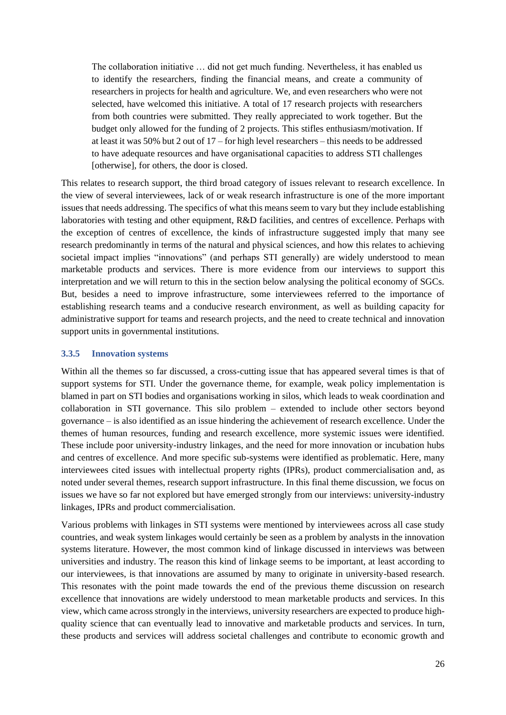The collaboration initiative … did not get much funding. Nevertheless, it has enabled us to identify the researchers, finding the financial means, and create a community of researchers in projects for health and agriculture. We, and even researchers who were not selected, have welcomed this initiative. A total of 17 research projects with researchers from both countries were submitted. They really appreciated to work together. But the budget only allowed for the funding of 2 projects. This stifles enthusiasm/motivation. If at least it was 50% but 2 out of 17 – for high level researchers – this needs to be addressed to have adequate resources and have organisational capacities to address STI challenges [otherwise], for others, the door is closed.

This relates to research support, the third broad category of issues relevant to research excellence. In the view of several interviewees, lack of or weak research infrastructure is one of the more important issues that needs addressing. The specifics of what this means seem to vary but they include establishing laboratories with testing and other equipment, R&D facilities, and centres of excellence. Perhaps with the exception of centres of excellence, the kinds of infrastructure suggested imply that many see research predominantly in terms of the natural and physical sciences, and how this relates to achieving societal impact implies "innovations" (and perhaps STI generally) are widely understood to mean marketable products and services. There is more evidence from our interviews to support this interpretation and we will return to this in the section below analysing the political economy of SGCs. But, besides a need to improve infrastructure, some interviewees referred to the importance of establishing research teams and a conducive research environment, as well as building capacity for administrative support for teams and research projects, and the need to create technical and innovation support units in governmental institutions.

#### <span id="page-38-0"></span>**3.3.5 Innovation systems**

Within all the themes so far discussed, a cross-cutting issue that has appeared several times is that of support systems for STI. Under the governance theme, for example, weak policy implementation is blamed in part on STI bodies and organisations working in silos, which leads to weak coordination and collaboration in STI governance. This silo problem – extended to include other sectors beyond governance – is also identified as an issue hindering the achievement of research excellence. Under the themes of human resources, funding and research excellence, more systemic issues were identified. These include poor university-industry linkages, and the need for more innovation or incubation hubs and centres of excellence. And more specific sub-systems were identified as problematic. Here, many interviewees cited issues with intellectual property rights (IPRs), product commercialisation and, as noted under several themes, research support infrastructure. In this final theme discussion, we focus on issues we have so far not explored but have emerged strongly from our interviews: university-industry linkages, IPRs and product commercialisation.

Various problems with linkages in STI systems were mentioned by interviewees across all case study countries, and weak system linkages would certainly be seen as a problem by analysts in the innovation systems literature. However, the most common kind of linkage discussed in interviews was between universities and industry. The reason this kind of linkage seems to be important, at least according to our interviewees, is that innovations are assumed by many to originate in university-based research. This resonates with the point made towards the end of the previous theme discussion on research excellence that innovations are widely understood to mean marketable products and services. In this view, which came across strongly in the interviews, university researchers are expected to produce highquality science that can eventually lead to innovative and marketable products and services. In turn, these products and services will address societal challenges and contribute to economic growth and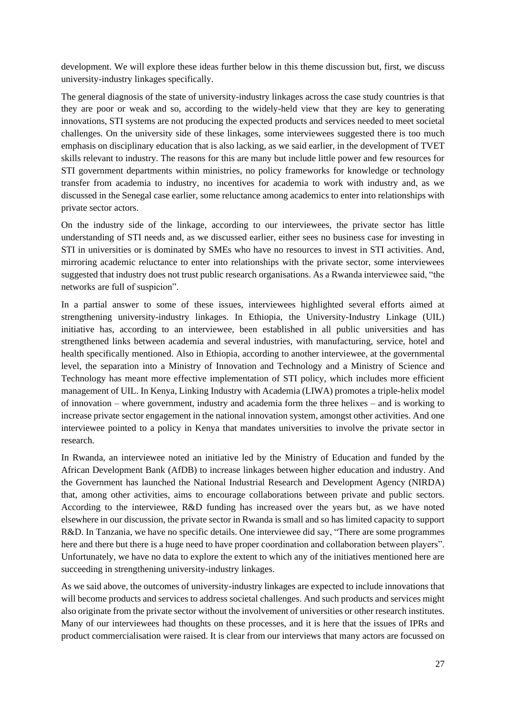development. We will explore these ideas further below in this theme discussion but, first, we discuss university-industry linkages specifically.

The general diagnosis of the state of university-industry linkages across the case study countries is that they are poor or weak and so, according to the widely-held view that they are key to generating innovations, STI systems are not producing the expected products and services needed to meet societal challenges. On the university side of these linkages, some interviewees suggested there is too much emphasis on disciplinary education that is also lacking, as we said earlier, in the development of TVET skills relevant to industry. The reasons for this are many but include little power and few resources for STI government departments within ministries, no policy frameworks for knowledge or technology transfer from academia to industry, no incentives for academia to work with industry and, as we discussed in the Senegal case earlier, some reluctance among academics to enter into relationships with private sector actors.

On the industry side of the linkage, according to our interviewees, the private sector has little understanding of STI needs and, as we discussed earlier, either sees no business case for investing in STI in universities or is dominated by SMEs who have no resources to invest in STI activities. And, mirroring academic reluctance to enter into relationships with the private sector, some interviewees suggested that industry does not trust public research organisations. As a Rwanda interviewee said, "the networks are full of suspicion".

In a partial answer to some of these issues, interviewees highlighted several efforts aimed at strengthening university-industry linkages. In Ethiopia, the University-Industry Linkage (UIL) initiative has, according to an interviewee, been established in all public universities and has strengthened links between academia and several industries, with manufacturing, service, hotel and health specifically mentioned. Also in Ethiopia, according to another interviewee, at the governmental level, the separation into a Ministry of Innovation and Technology and a Ministry of Science and Technology has meant more effective implementation of STI policy, which includes more efficient management of UIL. In Kenya, Linking Industry with Academia (LIWA) promotes a triple-helix model of innovation – where government, industry and academia form the three helixes – and is working to increase private sector engagement in the national innovation system, amongst other activities. And one interviewee pointed to a policy in Kenya that mandates universities to involve the private sector in research.

In Rwanda, an interviewee noted an initiative led by the Ministry of Education and funded by the African Development Bank (AfDB) to increase linkages between higher education and industry. And the Government has launched the National Industrial Research and Development Agency (NIRDA) that, among other activities, aims to encourage collaborations between private and public sectors. According to the interviewee, R&D funding has increased over the years but, as we have noted elsewhere in our discussion, the private sector in Rwanda is small and so has limited capacity to support R&D. In Tanzania, we have no specific details. One interviewee did say, "There are some programmes here and there but there is a huge need to have proper coordination and collaboration between players". Unfortunately, we have no data to explore the extent to which any of the initiatives mentioned here are succeeding in strengthening university-industry linkages.

As we said above, the outcomes of university-industry linkages are expected to include innovations that will become products and services to address societal challenges. And such products and services might also originate from the private sector without the involvement of universities or other research institutes. Many of our interviewees had thoughts on these processes, and it is here that the issues of IPRs and product commercialisation were raised. It is clear from our interviews that many actors are focussed on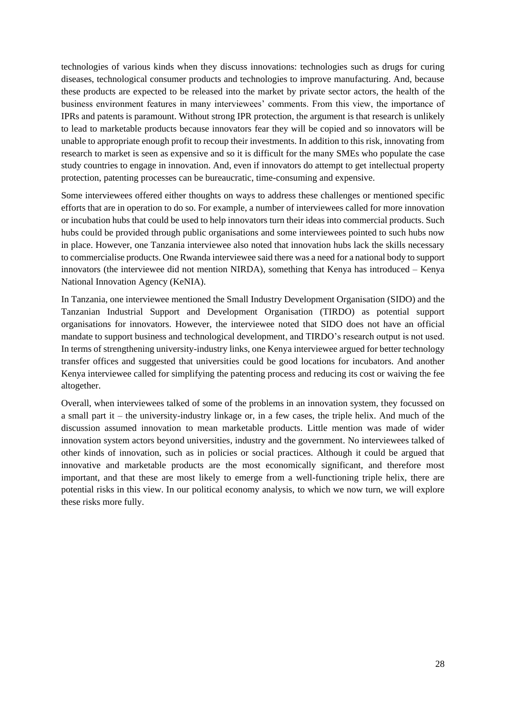technologies of various kinds when they discuss innovations: technologies such as drugs for curing diseases, technological consumer products and technologies to improve manufacturing. And, because these products are expected to be released into the market by private sector actors, the health of the business environment features in many interviewees' comments. From this view, the importance of IPRs and patents is paramount. Without strong IPR protection, the argument is that research is unlikely to lead to marketable products because innovators fear they will be copied and so innovators will be unable to appropriate enough profit to recoup their investments. In addition to this risk, innovating from research to market is seen as expensive and so it is difficult for the many SMEs who populate the case study countries to engage in innovation. And, even if innovators do attempt to get intellectual property protection, patenting processes can be bureaucratic, time-consuming and expensive.

Some interviewees offered either thoughts on ways to address these challenges or mentioned specific efforts that are in operation to do so. For example, a number of interviewees called for more innovation or incubation hubs that could be used to help innovators turn their ideas into commercial products. Such hubs could be provided through public organisations and some interviewees pointed to such hubs now in place. However, one Tanzania interviewee also noted that innovation hubs lack the skills necessary to commercialise products. One Rwanda interviewee said there was a need for a national body to support innovators (the interviewee did not mention NIRDA), something that Kenya has introduced – Kenya National Innovation Agency (KeNIA).

In Tanzania, one interviewee mentioned the Small Industry Development Organisation (SIDO) and the Tanzanian Industrial Support and Development Organisation (TIRDO) as potential support organisations for innovators. However, the interviewee noted that SIDO does not have an official mandate to support business and technological development, and TIRDO's research output is not used. In terms of strengthening university-industry links, one Kenya interviewee argued for better technology transfer offices and suggested that universities could be good locations for incubators. And another Kenya interviewee called for simplifying the patenting process and reducing its cost or waiving the fee altogether.

Overall, when interviewees talked of some of the problems in an innovation system, they focussed on a small part it – the university-industry linkage or, in a few cases, the triple helix. And much of the discussion assumed innovation to mean marketable products. Little mention was made of wider innovation system actors beyond universities, industry and the government. No interviewees talked of other kinds of innovation, such as in policies or social practices. Although it could be argued that innovative and marketable products are the most economically significant, and therefore most important, and that these are most likely to emerge from a well-functioning triple helix, there are potential risks in this view. In our political economy analysis, to which we now turn, we will explore these risks more fully.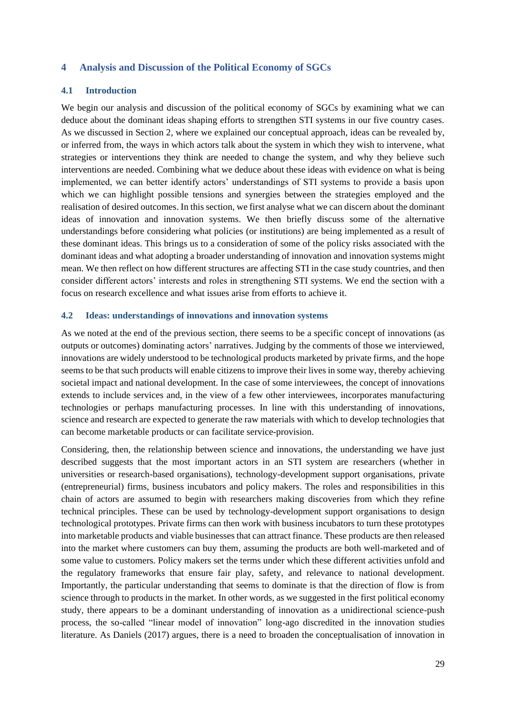#### <span id="page-41-0"></span>**4 Analysis and Discussion of the Political Economy of SGCs**

#### <span id="page-41-1"></span>**4.1 Introduction**

We begin our analysis and discussion of the political economy of SGCs by examining what we can deduce about the dominant ideas shaping efforts to strengthen STI systems in our five country cases. As we discussed in Section 2, where we explained our conceptual approach, ideas can be revealed by, or inferred from, the ways in which actors talk about the system in which they wish to intervene, what strategies or interventions they think are needed to change the system, and why they believe such interventions are needed. Combining what we deduce about these ideas with evidence on what is being implemented, we can better identify actors' understandings of STI systems to provide a basis upon which we can highlight possible tensions and synergies between the strategies employed and the realisation of desired outcomes. In this section, we first analyse what we can discern about the dominant ideas of innovation and innovation systems. We then briefly discuss some of the alternative understandings before considering what policies (or institutions) are being implemented as a result of these dominant ideas. This brings us to a consideration of some of the policy risks associated with the dominant ideas and what adopting a broader understanding of innovation and innovation systems might mean. We then reflect on how different structures are affecting STI in the case study countries, and then consider different actors' interests and roles in strengthening STI systems. We end the section with a focus on research excellence and what issues arise from efforts to achieve it.

#### <span id="page-41-2"></span>**4.2 Ideas: understandings of innovations and innovation systems**

As we noted at the end of the previous section, there seems to be a specific concept of innovations (as outputs or outcomes) dominating actors' narratives. Judging by the comments of those we interviewed, innovations are widely understood to be technological products marketed by private firms, and the hope seems to be that such products will enable citizens to improve their lives in some way, thereby achieving societal impact and national development. In the case of some interviewees, the concept of innovations extends to include services and, in the view of a few other interviewees, incorporates manufacturing technologies or perhaps manufacturing processes. In line with this understanding of innovations, science and research are expected to generate the raw materials with which to develop technologies that can become marketable products or can facilitate service-provision.

Considering, then, the relationship between science and innovations, the understanding we have just described suggests that the most important actors in an STI system are researchers (whether in universities or research-based organisations), technology-development support organisations, private (entrepreneurial) firms, business incubators and policy makers. The roles and responsibilities in this chain of actors are assumed to begin with researchers making discoveries from which they refine technical principles. These can be used by technology-development support organisations to design technological prototypes. Private firms can then work with business incubators to turn these prototypes into marketable products and viable businesses that can attract finance. These products are then released into the market where customers can buy them, assuming the products are both well-marketed and of some value to customers. Policy makers set the terms under which these different activities unfold and the regulatory frameworks that ensure fair play, safety, and relevance to national development. Importantly, the particular understanding that seems to dominate is that the direction of flow is from science through to products in the market. In other words, as we suggested in the first political economy study, there appears to be a dominant understanding of innovation as a unidirectional science-push process, the so-called "linear model of innovation" long-ago discredited in the innovation studies literature. As Daniels (2017) argues, there is a need to broaden the conceptualisation of innovation in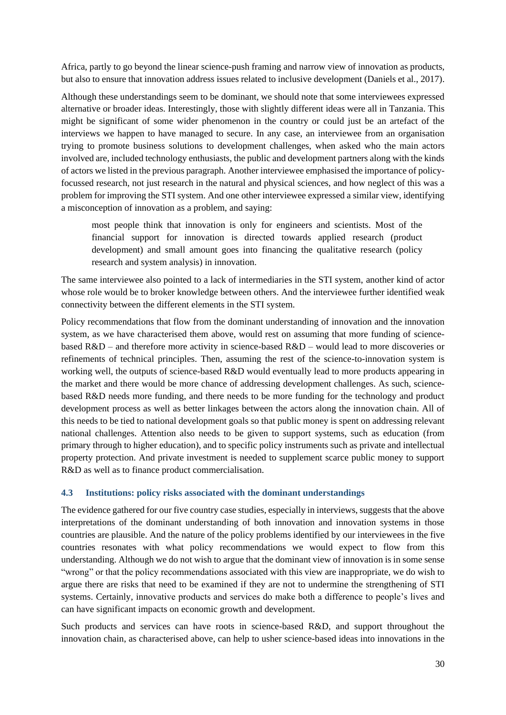Africa, partly to go beyond the linear science-push framing and narrow view of innovation as products, but also to ensure that innovation address issues related to inclusive development (Daniels et al., 2017).

Although these understandings seem to be dominant, we should note that some interviewees expressed alternative or broader ideas. Interestingly, those with slightly different ideas were all in Tanzania. This might be significant of some wider phenomenon in the country or could just be an artefact of the interviews we happen to have managed to secure. In any case, an interviewee from an organisation trying to promote business solutions to development challenges, when asked who the main actors involved are, included technology enthusiasts, the public and development partners along with the kinds of actors we listed in the previous paragraph. Another interviewee emphasised the importance of policyfocussed research, not just research in the natural and physical sciences, and how neglect of this was a problem for improving the STI system. And one other interviewee expressed a similar view, identifying a misconception of innovation as a problem, and saying:

most people think that innovation is only for engineers and scientists. Most of the financial support for innovation is directed towards applied research (product development) and small amount goes into financing the qualitative research (policy research and system analysis) in innovation.

The same interviewee also pointed to a lack of intermediaries in the STI system, another kind of actor whose role would be to broker knowledge between others. And the interviewee further identified weak connectivity between the different elements in the STI system.

Policy recommendations that flow from the dominant understanding of innovation and the innovation system, as we have characterised them above, would rest on assuming that more funding of sciencebased R&D – and therefore more activity in science-based R&D – would lead to more discoveries or refinements of technical principles. Then, assuming the rest of the science-to-innovation system is working well, the outputs of science-based R&D would eventually lead to more products appearing in the market and there would be more chance of addressing development challenges. As such, sciencebased R&D needs more funding, and there needs to be more funding for the technology and product development process as well as better linkages between the actors along the innovation chain. All of this needs to be tied to national development goals so that public money is spent on addressing relevant national challenges. Attention also needs to be given to support systems, such as education (from primary through to higher education), and to specific policy instruments such as private and intellectual property protection. And private investment is needed to supplement scarce public money to support R&D as well as to finance product commercialisation.

#### <span id="page-42-0"></span>**4.3 Institutions: policy risks associated with the dominant understandings**

The evidence gathered for our five country case studies, especially in interviews, suggests that the above interpretations of the dominant understanding of both innovation and innovation systems in those countries are plausible. And the nature of the policy problems identified by our interviewees in the five countries resonates with what policy recommendations we would expect to flow from this understanding. Although we do not wish to argue that the dominant view of innovation is in some sense "wrong" or that the policy recommendations associated with this view are inappropriate, we do wish to argue there are risks that need to be examined if they are not to undermine the strengthening of STI systems. Certainly, innovative products and services do make both a difference to people's lives and can have significant impacts on economic growth and development.

Such products and services can have roots in science-based R&D, and support throughout the innovation chain, as characterised above, can help to usher science-based ideas into innovations in the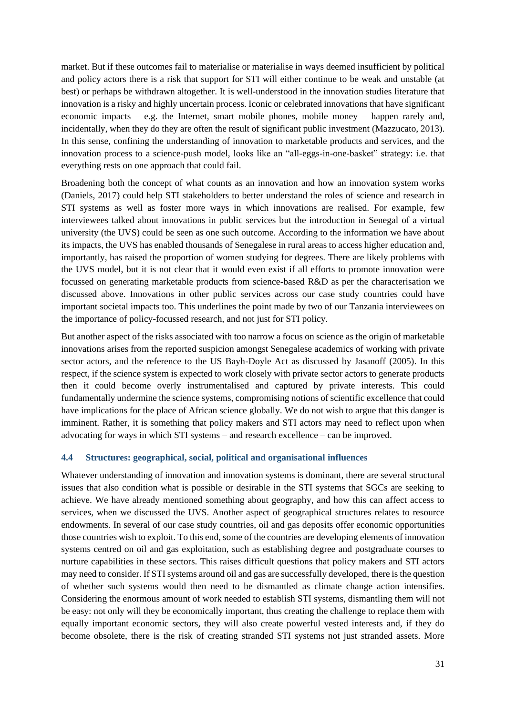market. But if these outcomes fail to materialise or materialise in ways deemed insufficient by political and policy actors there is a risk that support for STI will either continue to be weak and unstable (at best) or perhaps be withdrawn altogether. It is well-understood in the innovation studies literature that innovation is a risky and highly uncertain process. Iconic or celebrated innovations that have significant economic impacts  $-$  e.g. the Internet, smart mobile phones, mobile money  $-$  happen rarely and, incidentally, when they do they are often the result of significant public investment (Mazzucato, 2013). In this sense, confining the understanding of innovation to marketable products and services, and the innovation process to a science-push model, looks like an "all-eggs-in-one-basket" strategy: i.e. that everything rests on one approach that could fail.

Broadening both the concept of what counts as an innovation and how an innovation system works (Daniels, 2017) could help STI stakeholders to better understand the roles of science and research in STI systems as well as foster more ways in which innovations are realised. For example, few interviewees talked about innovations in public services but the introduction in Senegal of a virtual university (the UVS) could be seen as one such outcome. According to the information we have about its impacts, the UVS has enabled thousands of Senegalese in rural areas to access higher education and, importantly, has raised the proportion of women studying for degrees. There are likely problems with the UVS model, but it is not clear that it would even exist if all efforts to promote innovation were focussed on generating marketable products from science-based R&D as per the characterisation we discussed above. Innovations in other public services across our case study countries could have important societal impacts too. This underlines the point made by two of our Tanzania interviewees on the importance of policy-focussed research, and not just for STI policy.

But another aspect of the risks associated with too narrow a focus on science as the origin of marketable innovations arises from the reported suspicion amongst Senegalese academics of working with private sector actors, and the reference to the US Bayh-Doyle Act as discussed by Jasanoff (2005). In this respect, if the science system is expected to work closely with private sector actors to generate products then it could become overly instrumentalised and captured by private interests. This could fundamentally undermine the science systems, compromising notions of scientific excellence that could have implications for the place of African science globally. We do not wish to argue that this danger is imminent. Rather, it is something that policy makers and STI actors may need to reflect upon when advocating for ways in which STI systems – and research excellence – can be improved.

#### <span id="page-43-0"></span>**4.4 Structures: geographical, social, political and organisational influences**

Whatever understanding of innovation and innovation systems is dominant, there are several structural issues that also condition what is possible or desirable in the STI systems that SGCs are seeking to achieve. We have already mentioned something about geography, and how this can affect access to services, when we discussed the UVS. Another aspect of geographical structures relates to resource endowments. In several of our case study countries, oil and gas deposits offer economic opportunities those countries wish to exploit. To this end, some of the countries are developing elements of innovation systems centred on oil and gas exploitation, such as establishing degree and postgraduate courses to nurture capabilities in these sectors. This raises difficult questions that policy makers and STI actors may need to consider. If STI systems around oil and gas are successfully developed, there is the question of whether such systems would then need to be dismantled as climate change action intensifies. Considering the enormous amount of work needed to establish STI systems, dismantling them will not be easy: not only will they be economically important, thus creating the challenge to replace them with equally important economic sectors, they will also create powerful vested interests and, if they do become obsolete, there is the risk of creating stranded STI systems not just stranded assets. More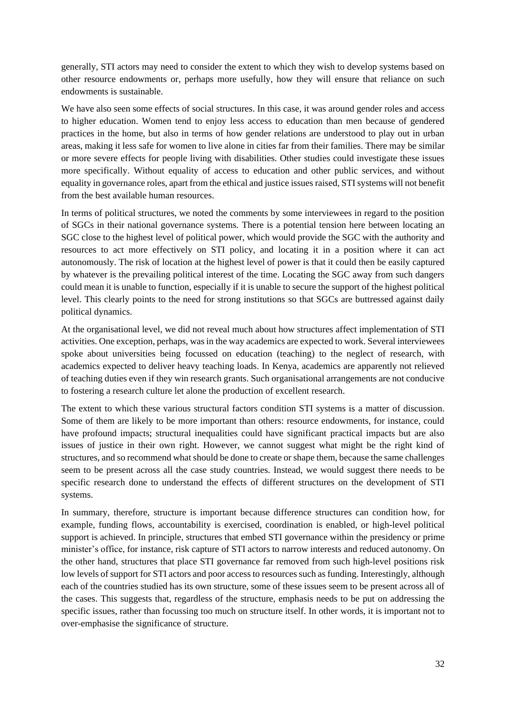generally, STI actors may need to consider the extent to which they wish to develop systems based on other resource endowments or, perhaps more usefully, how they will ensure that reliance on such endowments is sustainable.

We have also seen some effects of social structures. In this case, it was around gender roles and access to higher education. Women tend to enjoy less access to education than men because of gendered practices in the home, but also in terms of how gender relations are understood to play out in urban areas, making it less safe for women to live alone in cities far from their families. There may be similar or more severe effects for people living with disabilities. Other studies could investigate these issues more specifically. Without equality of access to education and other public services, and without equality in governance roles, apart from the ethical and justice issues raised, STI systems will not benefit from the best available human resources.

In terms of political structures, we noted the comments by some interviewees in regard to the position of SGCs in their national governance systems. There is a potential tension here between locating an SGC close to the highest level of political power, which would provide the SGC with the authority and resources to act more effectively on STI policy, and locating it in a position where it can act autonomously. The risk of location at the highest level of power is that it could then be easily captured by whatever is the prevailing political interest of the time. Locating the SGC away from such dangers could mean it is unable to function, especially if it is unable to secure the support of the highest political level. This clearly points to the need for strong institutions so that SGCs are buttressed against daily political dynamics.

At the organisational level, we did not reveal much about how structures affect implementation of STI activities. One exception, perhaps, was in the way academics are expected to work. Several interviewees spoke about universities being focussed on education (teaching) to the neglect of research, with academics expected to deliver heavy teaching loads. In Kenya, academics are apparently not relieved of teaching duties even if they win research grants. Such organisational arrangements are not conducive to fostering a research culture let alone the production of excellent research.

The extent to which these various structural factors condition STI systems is a matter of discussion. Some of them are likely to be more important than others: resource endowments, for instance, could have profound impacts; structural inequalities could have significant practical impacts but are also issues of justice in their own right. However, we cannot suggest what might be the right kind of structures, and so recommend what should be done to create or shape them, because the same challenges seem to be present across all the case study countries. Instead, we would suggest there needs to be specific research done to understand the effects of different structures on the development of STI systems.

In summary, therefore, structure is important because difference structures can condition how, for example, funding flows, accountability is exercised, coordination is enabled, or high-level political support is achieved. In principle, structures that embed STI governance within the presidency or prime minister's office, for instance, risk capture of STI actors to narrow interests and reduced autonomy. On the other hand, structures that place STI governance far removed from such high-level positions risk low levels of support for STI actors and poor access to resources such as funding. Interestingly, although each of the countries studied has its own structure, some of these issues seem to be present across all of the cases. This suggests that, regardless of the structure, emphasis needs to be put on addressing the specific issues, rather than focussing too much on structure itself. In other words, it is important not to over-emphasise the significance of structure.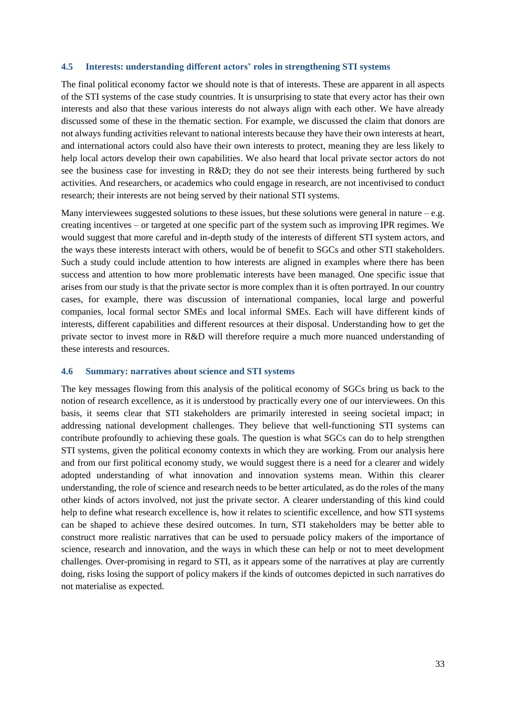#### <span id="page-45-0"></span>**4.5 Interests: understanding different actors' roles in strengthening STI systems**

The final political economy factor we should note is that of interests. These are apparent in all aspects of the STI systems of the case study countries. It is unsurprising to state that every actor has their own interests and also that these various interests do not always align with each other. We have already discussed some of these in the thematic section. For example, we discussed the claim that donors are not always funding activities relevant to national interests because they have their own interests at heart, and international actors could also have their own interests to protect, meaning they are less likely to help local actors develop their own capabilities. We also heard that local private sector actors do not see the business case for investing in R&D; they do not see their interests being furthered by such activities. And researchers, or academics who could engage in research, are not incentivised to conduct research; their interests are not being served by their national STI systems.

Many interviewees suggested solutions to these issues, but these solutions were general in nature – e.g. creating incentives – or targeted at one specific part of the system such as improving IPR regimes. We would suggest that more careful and in-depth study of the interests of different STI system actors, and the ways these interests interact with others, would be of benefit to SGCs and other STI stakeholders. Such a study could include attention to how interests are aligned in examples where there has been success and attention to how more problematic interests have been managed. One specific issue that arises from our study is that the private sector is more complex than it is often portrayed. In our country cases, for example, there was discussion of international companies, local large and powerful companies, local formal sector SMEs and local informal SMEs. Each will have different kinds of interests, different capabilities and different resources at their disposal. Understanding how to get the private sector to invest more in R&D will therefore require a much more nuanced understanding of these interests and resources.

#### <span id="page-45-1"></span>**4.6 Summary: narratives about science and STI systems**

The key messages flowing from this analysis of the political economy of SGCs bring us back to the notion of research excellence, as it is understood by practically every one of our interviewees. On this basis, it seems clear that STI stakeholders are primarily interested in seeing societal impact; in addressing national development challenges. They believe that well-functioning STI systems can contribute profoundly to achieving these goals. The question is what SGCs can do to help strengthen STI systems, given the political economy contexts in which they are working. From our analysis here and from our first political economy study, we would suggest there is a need for a clearer and widely adopted understanding of what innovation and innovation systems mean. Within this clearer understanding, the role of science and research needs to be better articulated, as do the roles of the many other kinds of actors involved, not just the private sector. A clearer understanding of this kind could help to define what research excellence is, how it relates to scientific excellence, and how STI systems can be shaped to achieve these desired outcomes. In turn, STI stakeholders may be better able to construct more realistic narratives that can be used to persuade policy makers of the importance of science, research and innovation, and the ways in which these can help or not to meet development challenges. Over-promising in regard to STI, as it appears some of the narratives at play are currently doing, risks losing the support of policy makers if the kinds of outcomes depicted in such narratives do not materialise as expected.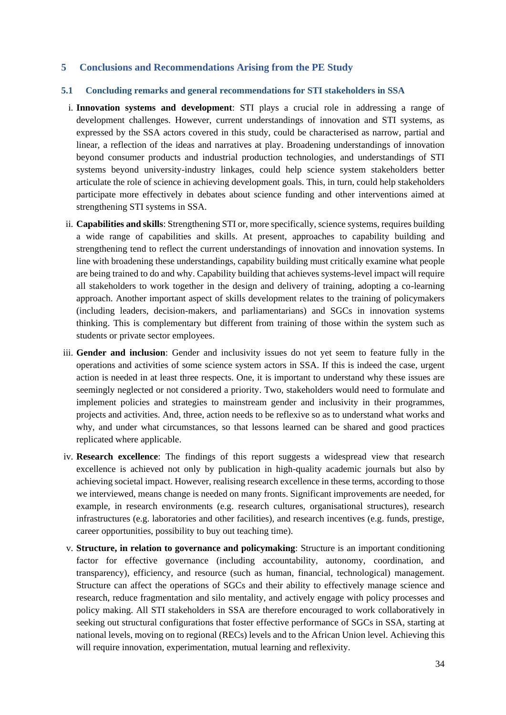#### <span id="page-46-0"></span>**5 Conclusions and Recommendations Arising from the PE Study**

#### <span id="page-46-1"></span>**5.1 Concluding remarks and general recommendations for STI stakeholders in SSA**

- i. **Innovation systems and development**: STI plays a crucial role in addressing a range of development challenges. However, current understandings of innovation and STI systems, as expressed by the SSA actors covered in this study, could be characterised as narrow, partial and linear, a reflection of the ideas and narratives at play. Broadening understandings of innovation beyond consumer products and industrial production technologies, and understandings of STI systems beyond university-industry linkages, could help science system stakeholders better articulate the role of science in achieving development goals. This, in turn, could help stakeholders participate more effectively in debates about science funding and other interventions aimed at strengthening STI systems in SSA.
- ii. **Capabilities and skills**: Strengthening STI or, more specifically, science systems, requires building a wide range of capabilities and skills. At present, approaches to capability building and strengthening tend to reflect the current understandings of innovation and innovation systems. In line with broadening these understandings, capability building must critically examine what people are being trained to do and why. Capability building that achieves systems-level impact will require all stakeholders to work together in the design and delivery of training, adopting a co-learning approach. Another important aspect of skills development relates to the training of policymakers (including leaders, decision-makers, and parliamentarians) and SGCs in innovation systems thinking. This is complementary but different from training of those within the system such as students or private sector employees.
- iii. **Gender and inclusion**: Gender and inclusivity issues do not yet seem to feature fully in the operations and activities of some science system actors in SSA. If this is indeed the case, urgent action is needed in at least three respects. One, it is important to understand why these issues are seemingly neglected or not considered a priority. Two, stakeholders would need to formulate and implement policies and strategies to mainstream gender and inclusivity in their programmes, projects and activities. And, three, action needs to be reflexive so as to understand what works and why, and under what circumstances, so that lessons learned can be shared and good practices replicated where applicable.
- iv. **Research excellence**: The findings of this report suggests a widespread view that research excellence is achieved not only by publication in high-quality academic journals but also by achieving societal impact. However, realising research excellence in these terms, according to those we interviewed, means change is needed on many fronts. Significant improvements are needed, for example, in research environments (e.g. research cultures, organisational structures), research infrastructures (e.g. laboratories and other facilities), and research incentives (e.g. funds, prestige, career opportunities, possibility to buy out teaching time).
- v. **Structure, in relation to governance and policymaking**: Structure is an important conditioning factor for effective governance (including accountability, autonomy, coordination, and transparency), efficiency, and resource (such as human, financial, technological) management. Structure can affect the operations of SGCs and their ability to effectively manage science and research, reduce fragmentation and silo mentality, and actively engage with policy processes and policy making. All STI stakeholders in SSA are therefore encouraged to work collaboratively in seeking out structural configurations that foster effective performance of SGCs in SSA, starting at national levels, moving on to regional (RECs) levels and to the African Union level. Achieving this will require innovation, experimentation, mutual learning and reflexivity.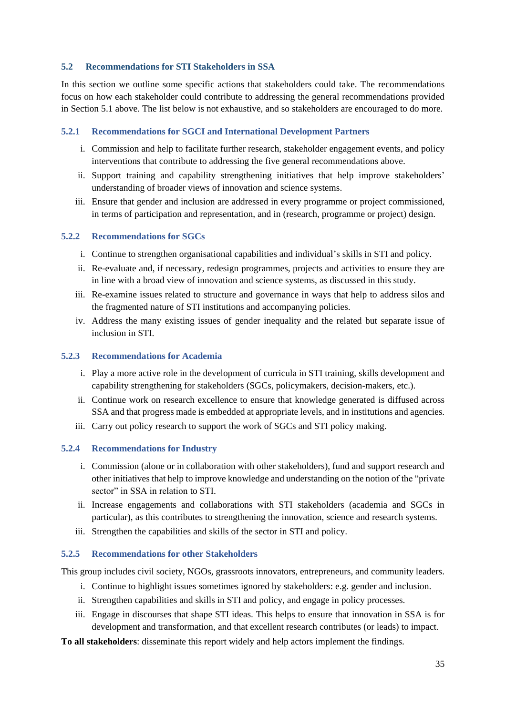#### <span id="page-47-0"></span>**5.2 Recommendations for STI Stakeholders in SSA**

In this section we outline some specific actions that stakeholders could take. The recommendations focus on how each stakeholder could contribute to addressing the general recommendations provided in Section 5.1 above. The list below is not exhaustive, and so stakeholders are encouraged to do more.

#### <span id="page-47-1"></span>**5.2.1 Recommendations for SGCI and International Development Partners**

- i. Commission and help to facilitate further research, stakeholder engagement events, and policy interventions that contribute to addressing the five general recommendations above.
- ii. Support training and capability strengthening initiatives that help improve stakeholders' understanding of broader views of innovation and science systems.
- iii. Ensure that gender and inclusion are addressed in every programme or project commissioned, in terms of participation and representation, and in (research, programme or project) design.

#### <span id="page-47-2"></span>**5.2.2 Recommendations for SGCs**

- i. Continue to strengthen organisational capabilities and individual's skills in STI and policy.
- ii. Re-evaluate and, if necessary, redesign programmes, projects and activities to ensure they are in line with a broad view of innovation and science systems, as discussed in this study.
- iii. Re-examine issues related to structure and governance in ways that help to address silos and the fragmented nature of STI institutions and accompanying policies.
- iv. Address the many existing issues of gender inequality and the related but separate issue of inclusion in STI.

#### <span id="page-47-3"></span>**5.2.3 Recommendations for Academia**

- i. Play a more active role in the development of curricula in STI training, skills development and capability strengthening for stakeholders (SGCs, policymakers, decision-makers, etc.).
- ii. Continue work on research excellence to ensure that knowledge generated is diffused across SSA and that progress made is embedded at appropriate levels, and in institutions and agencies.
- iii. Carry out policy research to support the work of SGCs and STI policy making.

#### <span id="page-47-4"></span>**5.2.4 Recommendations for Industry**

- i. Commission (alone or in collaboration with other stakeholders), fund and support research and other initiatives that help to improve knowledge and understanding on the notion of the "private sector" in SSA in relation to STI.
- ii. Increase engagements and collaborations with STI stakeholders (academia and SGCs in particular), as this contributes to strengthening the innovation, science and research systems.
- iii. Strengthen the capabilities and skills of the sector in STI and policy.

#### <span id="page-47-5"></span>**5.2.5 Recommendations for other Stakeholders**

This group includes civil society, NGOs, grassroots innovators, entrepreneurs, and community leaders.

- i. Continue to highlight issues sometimes ignored by stakeholders: e.g. gender and inclusion.
- ii. Strengthen capabilities and skills in STI and policy, and engage in policy processes.
- iii. Engage in discourses that shape STI ideas. This helps to ensure that innovation in SSA is for development and transformation, and that excellent research contributes (or leads) to impact.

**To all stakeholders**: disseminate this report widely and help actors implement the findings.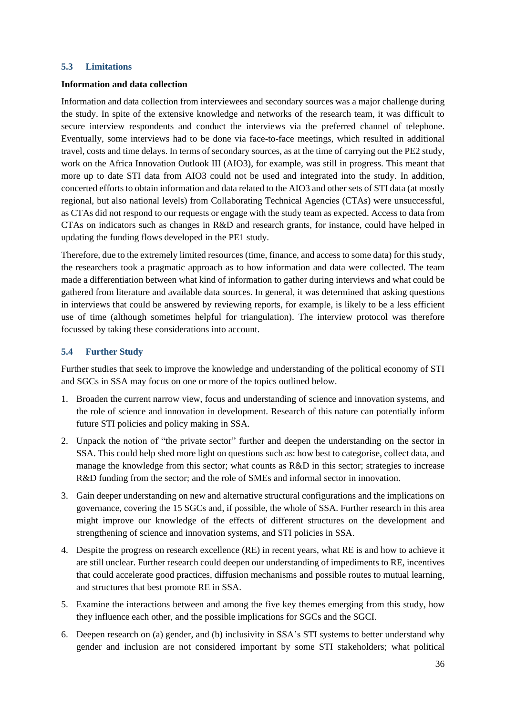#### <span id="page-48-0"></span>**5.3 Limitations**

#### **Information and data collection**

Information and data collection from interviewees and secondary sources was a major challenge during the study. In spite of the extensive knowledge and networks of the research team, it was difficult to secure interview respondents and conduct the interviews via the preferred channel of telephone. Eventually, some interviews had to be done via face-to-face meetings, which resulted in additional travel, costs and time delays. In terms of secondary sources, as at the time of carrying out the PE2 study, work on the Africa Innovation Outlook III (AIO3), for example, was still in progress. This meant that more up to date STI data from AIO3 could not be used and integrated into the study. In addition, concerted efforts to obtain information and data related to the AIO3 and other sets of STI data (at mostly regional, but also national levels) from Collaborating Technical Agencies (CTAs) were unsuccessful, as CTAs did not respond to our requests or engage with the study team as expected. Access to data from CTAs on indicators such as changes in R&D and research grants, for instance, could have helped in updating the funding flows developed in the PE1 study.

Therefore, due to the extremely limited resources (time, finance, and access to some data) for this study, the researchers took a pragmatic approach as to how information and data were collected. The team made a differentiation between what kind of information to gather during interviews and what could be gathered from literature and available data sources. In general, it was determined that asking questions in interviews that could be answered by reviewing reports, for example, is likely to be a less efficient use of time (although sometimes helpful for triangulation). The interview protocol was therefore focussed by taking these considerations into account.

#### <span id="page-48-1"></span>**5.4 Further Study**

Further studies that seek to improve the knowledge and understanding of the political economy of STI and SGCs in SSA may focus on one or more of the topics outlined below.

- 1. Broaden the current narrow view, focus and understanding of science and innovation systems, and the role of science and innovation in development. Research of this nature can potentially inform future STI policies and policy making in SSA.
- 2. Unpack the notion of "the private sector" further and deepen the understanding on the sector in SSA. This could help shed more light on questions such as: how best to categorise, collect data, and manage the knowledge from this sector; what counts as R&D in this sector; strategies to increase R&D funding from the sector; and the role of SMEs and informal sector in innovation.
- 3. Gain deeper understanding on new and alternative structural configurations and the implications on governance, covering the 15 SGCs and, if possible, the whole of SSA. Further research in this area might improve our knowledge of the effects of different structures on the development and strengthening of science and innovation systems, and STI policies in SSA.
- 4. Despite the progress on research excellence (RE) in recent years, what RE is and how to achieve it are still unclear. Further research could deepen our understanding of impediments to RE, incentives that could accelerate good practices, diffusion mechanisms and possible routes to mutual learning, and structures that best promote RE in SSA.
- 5. Examine the interactions between and among the five key themes emerging from this study, how they influence each other, and the possible implications for SGCs and the SGCI.
- 6. Deepen research on (a) gender, and (b) inclusivity in SSA's STI systems to better understand why gender and inclusion are not considered important by some STI stakeholders; what political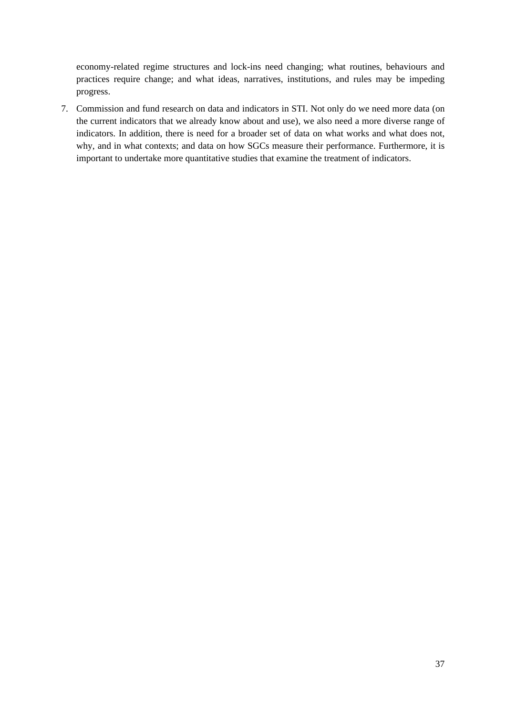economy-related regime structures and lock-ins need changing; what routines, behaviours and practices require change; and what ideas, narratives, institutions, and rules may be impeding progress.

7. Commission and fund research on data and indicators in STI. Not only do we need more data (on the current indicators that we already know about and use), we also need a more diverse range of indicators. In addition, there is need for a broader set of data on what works and what does not, why, and in what contexts; and data on how SGCs measure their performance. Furthermore, it is important to undertake more quantitative studies that examine the treatment of indicators.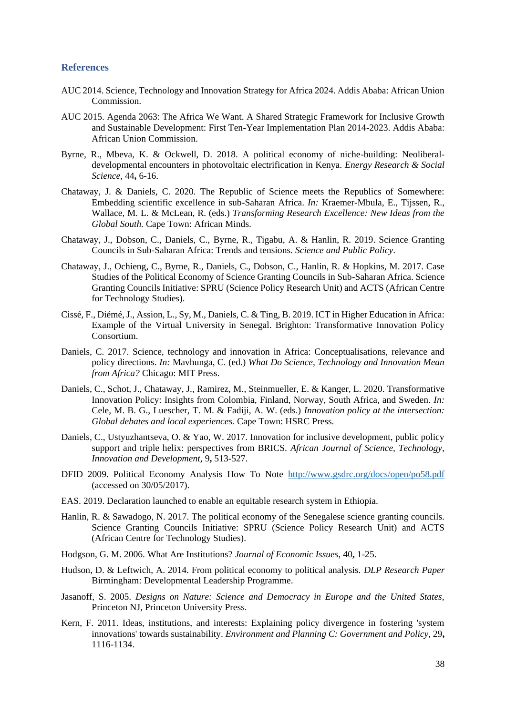#### <span id="page-50-0"></span>**References**

- AUC 2014. Science, Technology and Innovation Strategy for Africa 2024. Addis Ababa: African Union Commission.
- AUC 2015. Agenda 2063: The Africa We Want. A Shared Strategic Framework for Inclusive Growth and Sustainable Development: First Ten-Year Implementation Plan 2014-2023. Addis Ababa: African Union Commission.
- Byrne, R., Mbeva, K. & Ockwell, D. 2018. A political economy of niche-building: Neoliberaldevelopmental encounters in photovoltaic electrification in Kenya. *Energy Research & Social Science,* 44**,** 6-16.
- Chataway, J. & Daniels, C. 2020. The Republic of Science meets the Republics of Somewhere: Embedding scientific excellence in sub-Saharan Africa. *In:* Kraemer-Mbula, E., Tijssen, R., Wallace, M. L. & McLean, R. (eds.) *Transforming Research Excellence: New Ideas from the Global South.* Cape Town: African Minds.
- Chataway, J., Dobson, C., Daniels, C., Byrne, R., Tigabu, A. & Hanlin, R. 2019. Science Granting Councils in Sub-Saharan Africa: Trends and tensions. *Science and Public Policy*.
- Chataway, J., Ochieng, C., Byrne, R., Daniels, C., Dobson, C., Hanlin, R. & Hopkins, M. 2017. Case Studies of the Political Economy of Science Granting Councils in Sub-Saharan Africa. Science Granting Councils Initiative: SPRU (Science Policy Research Unit) and ACTS (African Centre for Technology Studies).
- Cissé, F., Diémé, J., Assion, L., Sy, M., Daniels, C. & Ting, B. 2019. ICT in Higher Education in Africa: Example of the Virtual University in Senegal. Brighton: Transformative Innovation Policy Consortium.
- Daniels, C. 2017. Science, technology and innovation in Africa: Conceptualisations, relevance and policy directions. *In:* Mavhunga, C. (ed.) *What Do Science, Technology and Innovation Mean from Africa?* Chicago: MIT Press.
- Daniels, C., Schot, J., Chataway, J., Ramirez, M., Steinmueller, E. & Kanger, L. 2020. Transformative Innovation Policy: Insights from Colombia, Finland, Norway, South Africa, and Sweden. *In:* Cele, M. B. G., Luescher, T. M. & Fadiji, A. W. (eds.) *Innovation policy at the intersection: Global debates and local experiences.* Cape Town: HSRC Press.
- Daniels, C., Ustyuzhantseva, O. & Yao, W. 2017. Innovation for inclusive development, public policy support and triple helix: perspectives from BRICS. *African Journal of Science, Technology, Innovation and Development,* 9**,** 513-527.
- DFID 2009. Political Economy Analysis How To Note <http://www.gsdrc.org/docs/open/po58.pdf> (accessed on 30/05/2017).
- EAS. 2019. Declaration launched to enable an equitable research system in Ethiopia.
- Hanlin, R. & Sawadogo, N. 2017. The political economy of the Senegalese science granting councils. Science Granting Councils Initiative: SPRU (Science Policy Research Unit) and ACTS (African Centre for Technology Studies).
- Hodgson, G. M. 2006. What Are Institutions? *Journal of Economic Issues,* 40**,** 1-25.
- Hudson, D. & Leftwich, A. 2014. From political economy to political analysis. *DLP Research Paper*  Birmingham: Developmental Leadership Programme.
- Jasanoff, S. 2005. *Designs on Nature: Science and Democracy in Europe and the United States,*  Princeton NJ, Princeton University Press.
- Kern, F. 2011. Ideas, institutions, and interests: Explaining policy divergence in fostering 'system innovations' towards sustainability. *Environment and Planning C: Government and Policy,* 29**,** 1116-1134.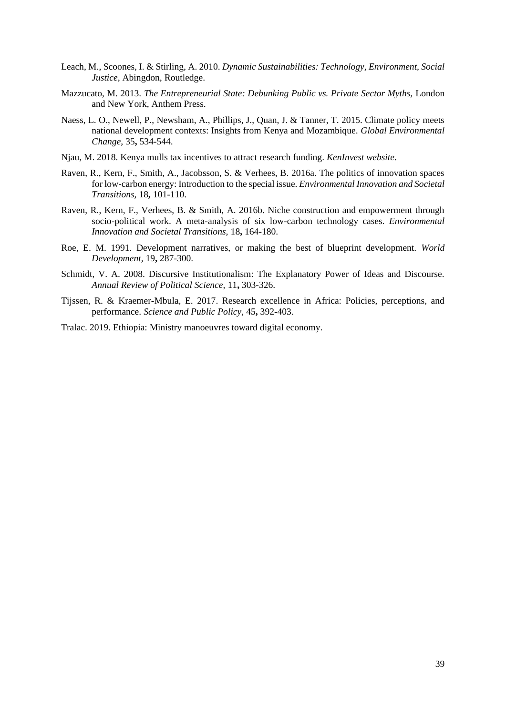- Leach, M., Scoones, I. & Stirling, A. 2010. *Dynamic Sustainabilities: Technology, Environment, Social Justice,* Abingdon, Routledge.
- Mazzucato, M. 2013. *The Entrepreneurial State: Debunking Public vs. Private Sector Myths,* London and New York, Anthem Press.
- Naess, L. O., Newell, P., Newsham, A., Phillips, J., Quan, J. & Tanner, T. 2015. Climate policy meets national development contexts: Insights from Kenya and Mozambique. *Global Environmental Change,* 35**,** 534-544.
- Njau, M. 2018. Kenya mulls tax incentives to attract research funding. *KenInvest website*.
- Raven, R., Kern, F., Smith, A., Jacobsson, S. & Verhees, B. 2016a. The politics of innovation spaces for low-carbon energy: Introduction to the special issue. *Environmental Innovation and Societal Transitions,* 18**,** 101-110.
- Raven, R., Kern, F., Verhees, B. & Smith, A. 2016b. Niche construction and empowerment through socio-political work. A meta-analysis of six low-carbon technology cases. *Environmental Innovation and Societal Transitions,* 18**,** 164-180.
- Roe, E. M. 1991. Development narratives, or making the best of blueprint development. *World Development,* 19**,** 287-300.
- Schmidt, V. A. 2008. Discursive Institutionalism: The Explanatory Power of Ideas and Discourse. *Annual Review of Political Science,* 11**,** 303-326.
- Tijssen, R. & Kraemer-Mbula, E. 2017. Research excellence in Africa: Policies, perceptions, and performance. *Science and Public Policy,* 45**,** 392-403.
- Tralac. 2019. Ethiopia: Ministry manoeuvres toward digital economy.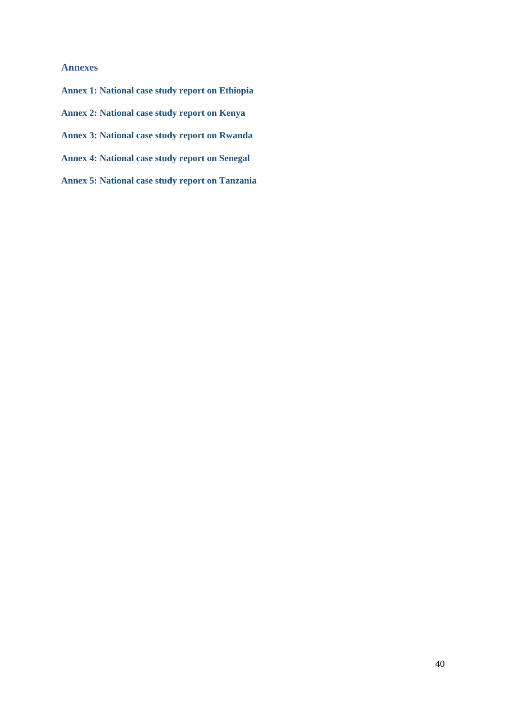#### <span id="page-52-0"></span>**Annexes**

<span id="page-52-5"></span><span id="page-52-4"></span><span id="page-52-3"></span><span id="page-52-2"></span><span id="page-52-1"></span>**Annex 1: National case study report on Ethiopia Annex 2: National case study report on Kenya Annex 3: National case study report on Rwanda Annex 4: National case study report on Senegal Annex 5: National case study report on Tanzania**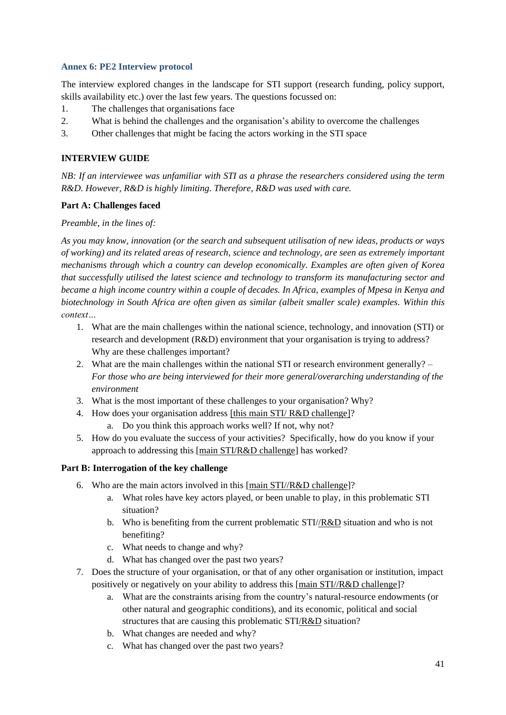#### <span id="page-53-0"></span>**Annex 6: PE2 Interview protocol**

The interview explored changes in the landscape for STI support (research funding, policy support, skills availability etc.) over the last few years. The questions focussed on:

- 1. The challenges that organisations face
- 2. What is behind the challenges and the organisation's ability to overcome the challenges
- 3. Other challenges that might be facing the actors working in the STI space

#### **INTERVIEW GUIDE**

*NB: If an interviewee was unfamiliar with STI as a phrase the researchers considered using the term R&D. However, R&D is highly limiting. Therefore, R&D was used with care.* 

#### **Part A: Challenges faced**

*Preamble, in the lines of:*

*As you may know, innovation (or the search and subsequent utilisation of new ideas, products or ways of working) and its related areas of research, science and technology, are seen as extremely important mechanisms through which a country can develop economically. Examples are often given of Korea that successfully utilised the latest science and technology to transform its manufacturing sector and became a high income country within a couple of decades. In Africa, examples of Mpesa in Kenya and biotechnology in South Africa are often given as similar (albeit smaller scale) examples. Within this context…*

- 1. What are the main challenges within the national science, technology, and innovation (STI) or research and development (R&D) environment that your organisation is trying to address? Why are these challenges important?
- 2. What are the main challenges within the national STI or research environment generally? *– For those who are being interviewed for their more general/overarching understanding of the environment*
- 3. What is the most important of these challenges to your organisation? Why?
- 4. How does your organisation address [this main STI/ R&D challenge]?
	- a. Do you think this approach works well? If not, why not?
- 5. How do you evaluate the success of your activities? Specifically, how do you know if your approach to addressing this [main STI/R&D challenge] has worked?

#### **Part B: Interrogation of the key challenge**

- 6. Who are the main actors involved in this [main STI//R&D challenge]?
	- a. What roles have key actors played, or been unable to play, in this problematic STI situation?
	- b. Who is benefiting from the current problematic STI//R&D situation and who is not benefiting?
	- c. What needs to change and why?
	- d. What has changed over the past two years?
- 7. Does the structure of your organisation, or that of any other organisation or institution, impact positively or negatively on your ability to address this [main STI//R&D challenge]?
	- a. What are the constraints arising from the country's natural-resource endowments (or other natural and geographic conditions), and its economic, political and social structures that are causing this problematic STI/R&D situation?
	- b. What changes are needed and why?
	- c. What has changed over the past two years?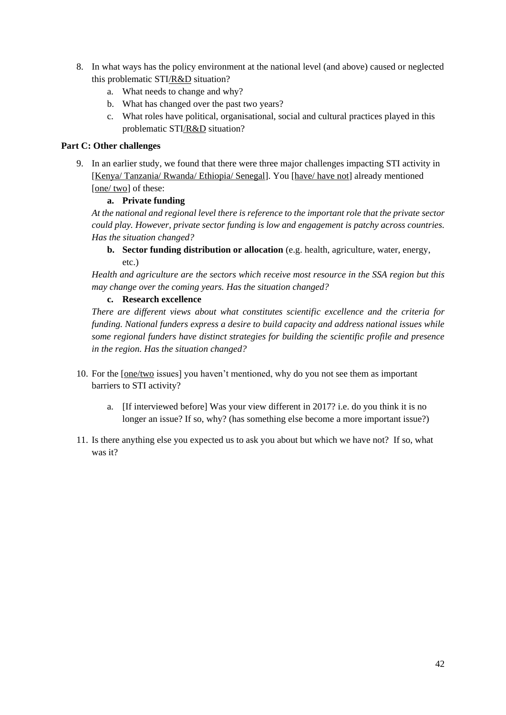- 8. In what ways has the policy environment at the national level (and above) caused or neglected this problematic STI/R&D situation?
	- a. What needs to change and why?
	- b. What has changed over the past two years?
	- c. What roles have political, organisational, social and cultural practices played in this problematic STI/R&D situation?

#### **Part C: Other challenges**

9. In an earlier study, we found that there were three major challenges impacting STI activity in [Kenya/ Tanzania/ Rwanda/ Ethiopia/ Senegal]. You [have/ have not] already mentioned [one/ two] of these:

#### **a. Private funding**

*At the national and regional level there is reference to the important role that the private sector could play. However, private sector funding is low and engagement is patchy across countries. Has the situation changed?*

**b. Sector funding distribution or allocation** (e.g. health, agriculture, water, energy, etc.)

*Health and agriculture are the sectors which receive most resource in the SSA region but this may change over the coming years. Has the situation changed?*

#### **c. Research excellence**

*There are different views about what constitutes scientific excellence and the criteria for funding. National funders express a desire to build capacity and address national issues while some regional funders have distinct strategies for building the scientific profile and presence in the region. Has the situation changed?*

- 10. For the [one/two issues] you haven't mentioned, why do you not see them as important barriers to STI activity?
	- a. [If interviewed before] Was your view different in 2017? i.e. do you think it is no longer an issue? If so, why? (has something else become a more important issue?)
- 11. Is there anything else you expected us to ask you about but which we have not? If so, what was it?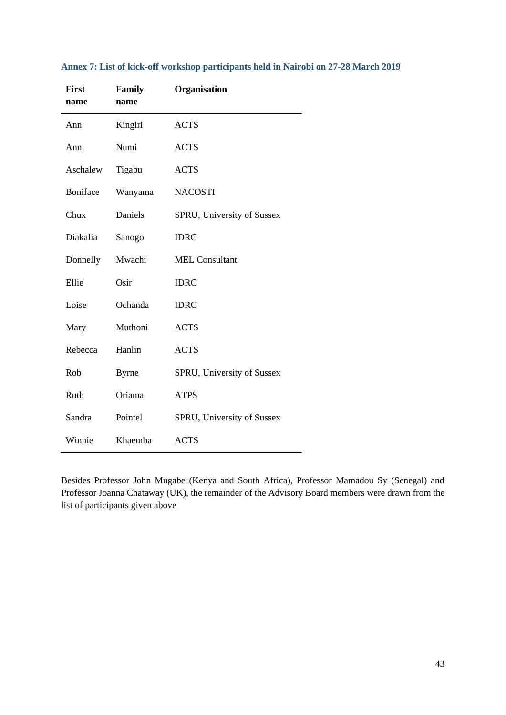| <b>First</b><br>name | Family<br>name | Organisation               |
|----------------------|----------------|----------------------------|
| Ann                  | Kingiri        | <b>ACTS</b>                |
| Ann                  | Numi           | <b>ACTS</b>                |
| Aschalew             | Tigabu         | <b>ACTS</b>                |
| Boniface             | Wanyama        | <b>NACOSTI</b>             |
| Chux                 | Daniels        | SPRU, University of Sussex |
| Diakalia             | Sanogo         | <b>IDRC</b>                |
| Donnelly             | Mwachi         | <b>MEL Consultant</b>      |
| Ellie                | Osir           | <b>IDRC</b>                |
| Loise                | Ochanda        | <b>IDRC</b>                |
| Mary                 | Muthoni        | <b>ACTS</b>                |
| Rebecca              | Hanlin         | <b>ACTS</b>                |
| Rob                  | <b>Byrne</b>   | SPRU, University of Sussex |
| Ruth                 | Oriama         | <b>ATPS</b>                |
| Sandra               | Pointel        | SPRU, University of Sussex |
| Winnie               | Khaemba        | <b>ACTS</b>                |

#### <span id="page-55-0"></span>**Annex 7: List of kick-off workshop participants held in Nairobi on 27-28 March 2019**

Besides Professor John Mugabe (Kenya and South Africa), Professor Mamadou Sy (Senegal) and Professor Joanna Chataway (UK), the remainder of the Advisory Board members were drawn from the list of participants given above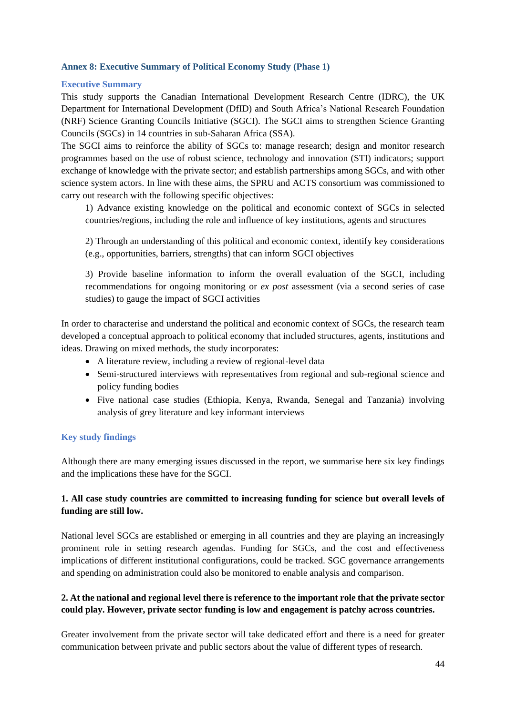#### <span id="page-56-0"></span>**Annex 8: Executive Summary of Political Economy Study (Phase 1)**

#### **Executive Summary**

This study supports the Canadian International Development Research Centre (IDRC), the UK Department for International Development (DfID) and South Africa's National Research Foundation (NRF) Science Granting Councils Initiative (SGCI). The SGCI aims to strengthen Science Granting Councils (SGCs) in 14 countries in sub-Saharan Africa (SSA).

The SGCI aims to reinforce the ability of SGCs to: manage research; design and monitor research programmes based on the use of robust science, technology and innovation (STI) indicators; support exchange of knowledge with the private sector; and establish partnerships among SGCs, and with other science system actors. In line with these aims, the SPRU and ACTS consortium was commissioned to carry out research with the following specific objectives:

1) Advance existing knowledge on the political and economic context of SGCs in selected countries/regions, including the role and influence of key institutions, agents and structures

2) Through an understanding of this political and economic context, identify key considerations (e.g., opportunities, barriers, strengths) that can inform SGCI objectives

3) Provide baseline information to inform the overall evaluation of the SGCI, including recommendations for ongoing monitoring or *ex post* assessment (via a second series of case studies) to gauge the impact of SGCI activities

In order to characterise and understand the political and economic context of SGCs, the research team developed a conceptual approach to political economy that included structures, agents, institutions and ideas. Drawing on mixed methods, the study incorporates:

- A literature review, including a review of regional-level data
- Semi-structured interviews with representatives from regional and sub-regional science and policy funding bodies
- Five national case studies (Ethiopia, Kenya, Rwanda, Senegal and Tanzania) involving analysis of grey literature and key informant interviews

#### **Key study findings**

Although there are many emerging issues discussed in the report, we summarise here six key findings and the implications these have for the SGCI.

#### **1. All case study countries are committed to increasing funding for science but overall levels of funding are still low.**

National level SGCs are established or emerging in all countries and they are playing an increasingly prominent role in setting research agendas. Funding for SGCs, and the cost and effectiveness implications of different institutional configurations, could be tracked. SGC governance arrangements and spending on administration could also be monitored to enable analysis and comparison.

#### **2. At the national and regional level there is reference to the important role that the private sector could play. However, private sector funding is low and engagement is patchy across countries.**

Greater involvement from the private sector will take dedicated effort and there is a need for greater communication between private and public sectors about the value of different types of research.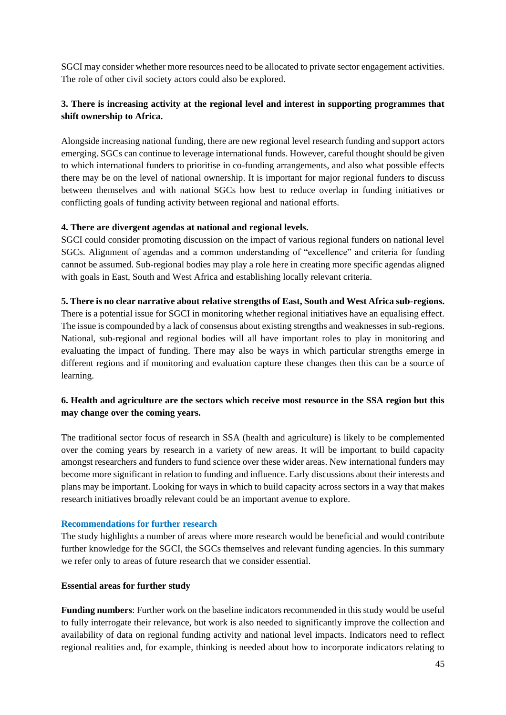SGCI may consider whether more resources need to be allocated to private sector engagement activities. The role of other civil society actors could also be explored.

#### **3. There is increasing activity at the regional level and interest in supporting programmes that shift ownership to Africa.**

Alongside increasing national funding, there are new regional level research funding and support actors emerging. SGCs can continue to leverage international funds. However, careful thought should be given to which international funders to prioritise in co-funding arrangements, and also what possible effects there may be on the level of national ownership. It is important for major regional funders to discuss between themselves and with national SGCs how best to reduce overlap in funding initiatives or conflicting goals of funding activity between regional and national efforts.

#### **4. There are divergent agendas at national and regional levels.**

SGCI could consider promoting discussion on the impact of various regional funders on national level SGCs. Alignment of agendas and a common understanding of "excellence" and criteria for funding cannot be assumed. Sub-regional bodies may play a role here in creating more specific agendas aligned with goals in East, South and West Africa and establishing locally relevant criteria.

#### **5. There is no clear narrative about relative strengths of East, South and West Africa sub-regions.**

There is a potential issue for SGCI in monitoring whether regional initiatives have an equalising effect. The issue is compounded by a lack of consensus about existing strengths and weaknesses in sub-regions. National, sub-regional and regional bodies will all have important roles to play in monitoring and evaluating the impact of funding. There may also be ways in which particular strengths emerge in different regions and if monitoring and evaluation capture these changes then this can be a source of learning.

#### **6. Health and agriculture are the sectors which receive most resource in the SSA region but this may change over the coming years.**

The traditional sector focus of research in SSA (health and agriculture) is likely to be complemented over the coming years by research in a variety of new areas. It will be important to build capacity amongst researchers and funders to fund science over these wider areas. New international funders may become more significant in relation to funding and influence. Early discussions about their interests and plans may be important. Looking for ways in which to build capacity across sectors in a way that makes research initiatives broadly relevant could be an important avenue to explore.

#### **Recommendations for further research**

The study highlights a number of areas where more research would be beneficial and would contribute further knowledge for the SGCI, the SGCs themselves and relevant funding agencies. In this summary we refer only to areas of future research that we consider essential.

#### **Essential areas for further study**

**Funding numbers**: Further work on the baseline indicators recommended in this study would be useful to fully interrogate their relevance, but work is also needed to significantly improve the collection and availability of data on regional funding activity and national level impacts. Indicators need to reflect regional realities and, for example, thinking is needed about how to incorporate indicators relating to